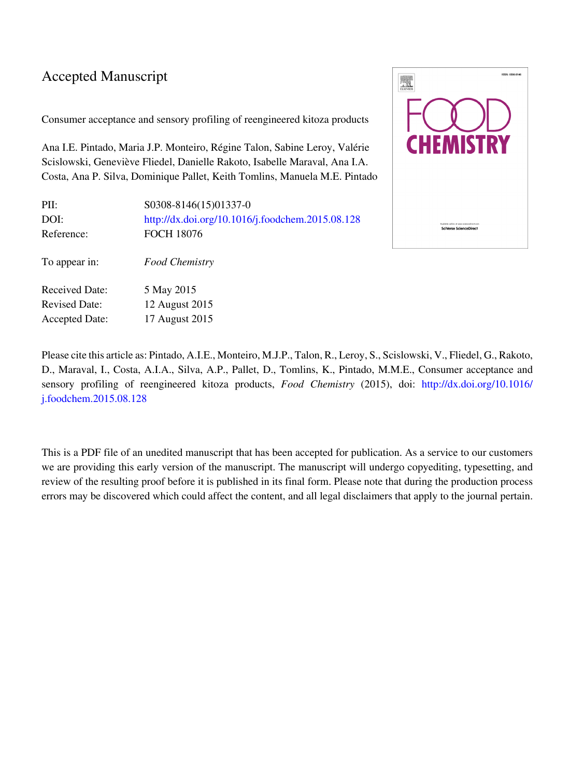#### Accepted Manuscript

Consumer acceptance and sensory profiling of reengineered kitoza products

Ana I.E. Pintado, Maria J.P. Monteiro, Régine Talon, Sabine Leroy, Valérie Scislowski, Geneviève Fliedel, Danielle Rakoto, Isabelle Maraval, Ana I.A. Costa, Ana P. Silva, Dominique Pallet, Keith Tomlins, Manuela M.E. Pintado

| PII:<br>DOI:<br>Reference: | S0308-8146(15)01337-0<br>http://dx.doi.org/10.1016/j.foodchem.2015.08.128<br><b>FOCH 18076</b> |
|----------------------------|------------------------------------------------------------------------------------------------|
| To appear in:              | Food Chemistry                                                                                 |
| <b>Received Date:</b>      | 5 May 2015                                                                                     |
| <b>Revised Date:</b>       | 12 August 2015                                                                                 |
| <b>Accepted Date:</b>      | 17 August 2015                                                                                 |



Please cite this article as: Pintado, A.I.E., Monteiro, M.J.P., Talon, R., Leroy, S., Scislowski, V., Fliedel, G., Rakoto, D., Maraval, I., Costa, A.I.A., Silva, A.P., Pallet, D., Tomlins, K., Pintado, M.M.E., Consumer acceptance and sensory profiling of reengineered kitoza products, *Food Chemistry* (2015), doi: [http://dx.doi.org/10.1016/](http://dx.doi.org/http://dx.doi.org/10.1016/j.foodchem.2015.08.128) [j.foodchem.2015.08.128](http://dx.doi.org/http://dx.doi.org/10.1016/j.foodchem.2015.08.128)

This is a PDF file of an unedited manuscript that has been accepted for publication. As a service to our customers we are providing this early version of the manuscript. The manuscript will undergo copyediting, typesetting, and review of the resulting proof before it is published in its final form. Please note that during the production process errors may be discovered which could affect the content, and all legal disclaimers that apply to the journal pertain.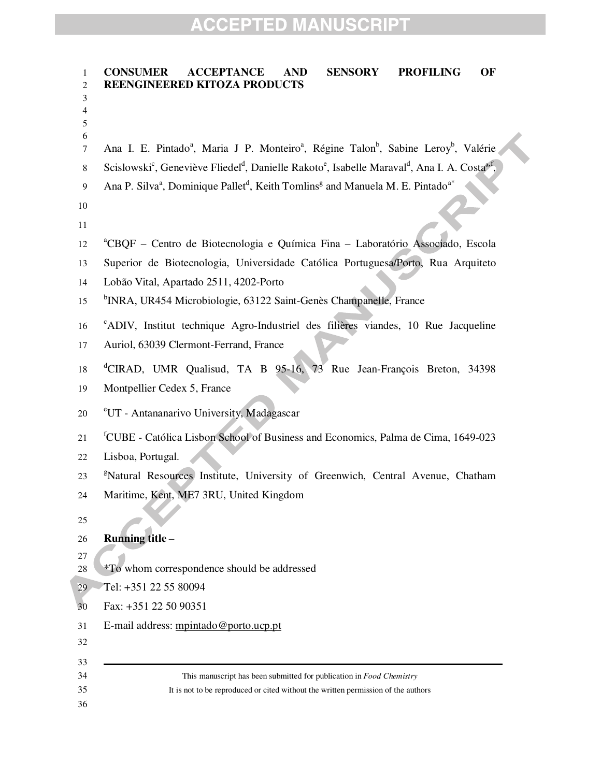| 1                | <b>AND</b><br><b>CONSUMER</b><br><b>ACCEPTANCE</b><br><b>SENSORY</b><br><b>PROFILING</b><br>OF                                                             |
|------------------|------------------------------------------------------------------------------------------------------------------------------------------------------------|
| 2<br>3           | REENGINEERED KITOZA PRODUCTS                                                                                                                               |
| 4                |                                                                                                                                                            |
| 5<br>6           |                                                                                                                                                            |
| $\tau$           | Ana I. E. Pintado <sup>a</sup> , Maria J P. Monteiro <sup>a</sup> , Régine Talon <sup>b</sup> , Sabine Leroy <sup>b</sup> , Valérie                        |
| 8                | Scislowski <sup>c</sup> , Geneviève Fliedel <sup>d</sup> , Danielle Rakoto <sup>e</sup> , Isabelle Maraval <sup>d</sup> , Ana I. A. Costa <sup>a,f</sup> , |
| $\boldsymbol{9}$ | Ana P. Silva <sup>a</sup> , Dominique Pallet <sup>d</sup> , Keith Tomlins <sup>g</sup> and Manuela M. E. Pintado <sup>a*</sup>                             |
| 10               |                                                                                                                                                            |
| 11               |                                                                                                                                                            |
| 12               | <sup>a</sup> CBQF – Centro de Biotecnologia e Química Fina – Laboratório Associado, Escola                                                                 |
| 13               | Superior de Biotecnologia, Universidade Católica Portuguesa/Porto, Rua Arquiteto                                                                           |
| 14               | Lobão Vital, Apartado 2511, 4202-Porto                                                                                                                     |
| 15               | <sup>b</sup> INRA, UR454 Microbiologie, 63122 Saint-Genès Champanelle, France                                                                              |
| 16               | <sup>c</sup> ADIV, Institut technique Agro-Industriel des filières viandes, 10 Rue Jacqueline                                                              |
| 17               | Auriol, 63039 Clermont-Ferrand, France                                                                                                                     |
| 18               | <sup>d</sup> CIRAD, UMR Qualisud, TA B 95-16, 73 Rue Jean-François Breton, 34398                                                                           |
| 19               | Montpellier Cedex 5, France                                                                                                                                |
| 20               | <sup>e</sup> UT - Antananarivo University, Madagascar                                                                                                      |
| 21               | <sup>f</sup> CUBE - Católica Lisbon School of Business and Economics, Palma de Cima, 1649-023                                                              |
| 22               | Lisboa, Portugal.                                                                                                                                          |
| 23               | <sup>g</sup> Natural Resources Institute, University of Greenwich, Central Avenue, Chatham                                                                 |
| 24               | Maritime, Kent, ME7 3RU, United Kingdom                                                                                                                    |
| 25               |                                                                                                                                                            |
| 26               | Running title-                                                                                                                                             |
| 27<br>$28\,$     | *To whom correspondence should be addressed                                                                                                                |
| 29               | Tel: +351 22 55 80094                                                                                                                                      |
| 30               | Fax: +351 22 50 90351                                                                                                                                      |
| 31               | E-mail address: mpintado@porto.ucp.pt                                                                                                                      |
| 32               |                                                                                                                                                            |
| 33               |                                                                                                                                                            |
| 34<br>35         | This manuscript has been submitted for publication in Food Chemistry<br>It is not to be reproduced or cited without the written permission of the authors  |
| 36               |                                                                                                                                                            |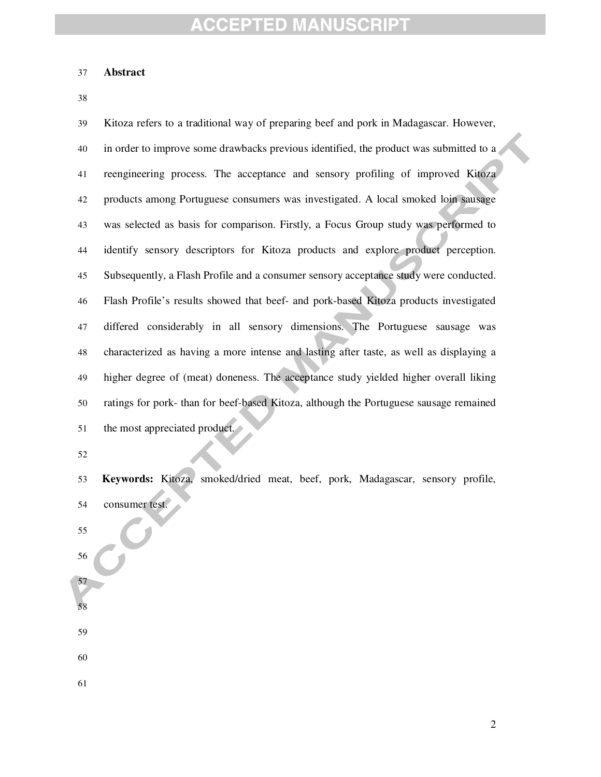#### **Abstract**

Kitoza refers to a traditional way of preparing beef and pork in Madagascar. However, in order to improve some drawbacks previous identified, the product was submitted to a reengineering process. The acceptance and sensory profiling of improved Kitoza products among Portuguese consumers was investigated. A local smoked loin sausage was selected as basis for comparison. Firstly, a Focus Group study was performed to identify sensory descriptors for Kitoza products and explore product perception. Subsequently, a Flash Profile and a consumer sensory acceptance study were conducted. Flash Profile's results showed that beef- and pork-based Kitoza products investigated differed considerably in all sensory dimensions. The Portuguese sausage was characterized as having a more intense and lasting after taste, as well as displaying a higher degree of (meat) doneness. The acceptance study yielded higher overall liking ratings for pork- than for beef-based Kitoza, although the Portuguese sausage remained 51 the most appreciated product.

**Keywords:** Kitoza, smoked/dried meat, beef, pork, Madagascar, sensory profile, consumer test.

- 
- 

- 
- 
- 
-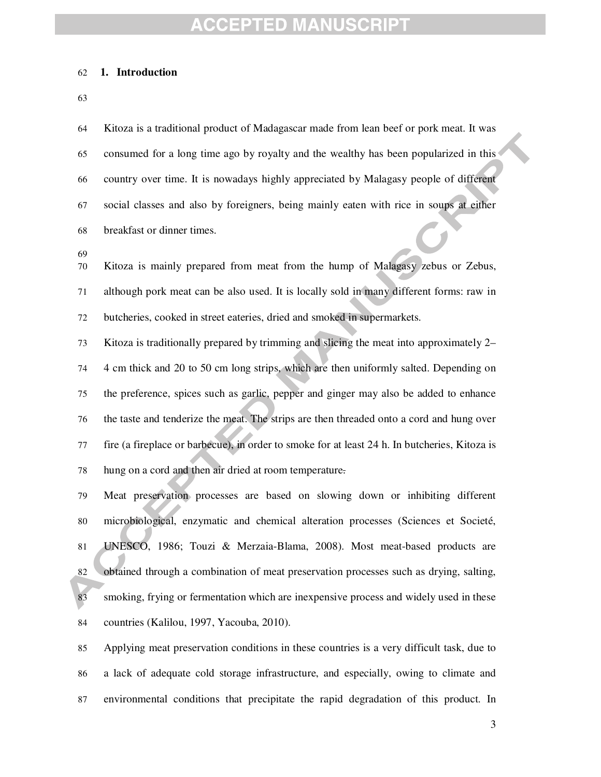#### **1. Introduction**

Kitoza is a traditional product of Madagascar made from lean beef or pork meat. It was consumed for a long time ago by royalty and the wealthy has been popularized in this country over time. It is nowadays highly appreciated by Malagasy people of different social classes and also by foreigners, being mainly eaten with rice in soups at either breakfast or dinner times.

Kitoza is mainly prepared from meat from the hump of Malagasy zebus or Zebus, although pork meat can be also used. It is locally sold in many different forms: raw in butcheries, cooked in street eateries, dried and smoked in supermarkets.

Kitoza is traditionally prepared by trimming and slicing the meat into approximately 2– 4 cm thick and 20 to 50 cm long strips, which are then uniformly salted. Depending on the preference, spices such as garlic, pepper and ginger may also be added to enhance the taste and tenderize the meat. The strips are then threaded onto a cord and hung over fire (a fireplace or barbecue), in order to smoke for at least 24 h. In butcheries, Kitoza is hung on a cord and then air dried at room temperature.

Meat preservation processes are based on slowing down or inhibiting different microbiological, enzymatic and chemical alteration processes (Sciences et Societé, UNESCO, 1986; Touzi & Merzaia-Blama, 2008). Most meat-based products are obtained through a combination of meat preservation processes such as drying, salting, smoking, frying or fermentation which are inexpensive process and widely used in these countries (Kalilou, 1997, Yacouba, 2010).

Applying meat preservation conditions in these countries is a very difficult task, due to a lack of adequate cold storage infrastructure, and especially, owing to climate and environmental conditions that precipitate the rapid degradation of this product. In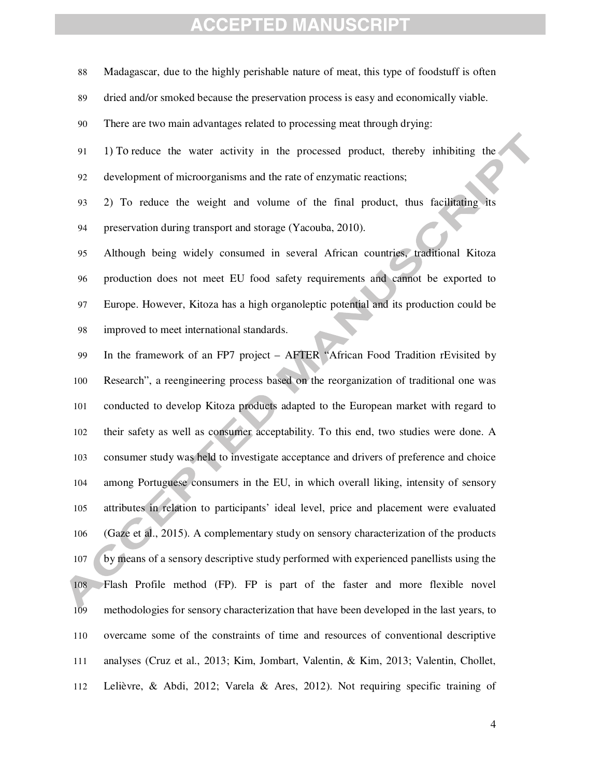Madagascar, due to the highly perishable nature of meat, this type of foodstuff is often dried and/or smoked because the preservation process is easy and economically viable. There are two main advantages related to processing meat through drying: 91 1) To reduce the water activity in the processed product, thereby inhibiting the development of microorganisms and the rate of enzymatic reactions; 2) To reduce the weight and volume of the final product, thus facilitating its preservation during transport and storage (Yacouba, 2010). Although being widely consumed in several African countries, traditional Kitoza production does not meet EU food safety requirements and cannot be exported to Europe. However, Kitoza has a high organoleptic potential and its production could be improved to meet international standards. In the framework of an FP7 project – AFTER "African Food Tradition rEvisited by Research", a reengineering process based on the reorganization of traditional one was conducted to develop Kitoza products adapted to the European market with regard to their safety as well as consumer acceptability. To this end, two studies were done. A consumer study was held to investigate acceptance and drivers of preference and choice among Portuguese consumers in the EU, in which overall liking, intensity of sensory attributes in relation to participants' ideal level, price and placement were evaluated (Gaze et al., 2015). A complementary study on sensory characterization of the products by means of a sensory descriptive study performed with experienced panellists using the Flash Profile method (FP). FP is part of the faster and more flexible novel methodologies for sensory characterization that have been developed in the last years, to overcame some of the constraints of time and resources of conventional descriptive analyses (Cruz et al., 2013; Kim, Jombart, Valentin, & Kim, 2013; Valentin, Chollet, Lelièvre, & Abdi, 2012; Varela & Ares, 2012). Not requiring specific training of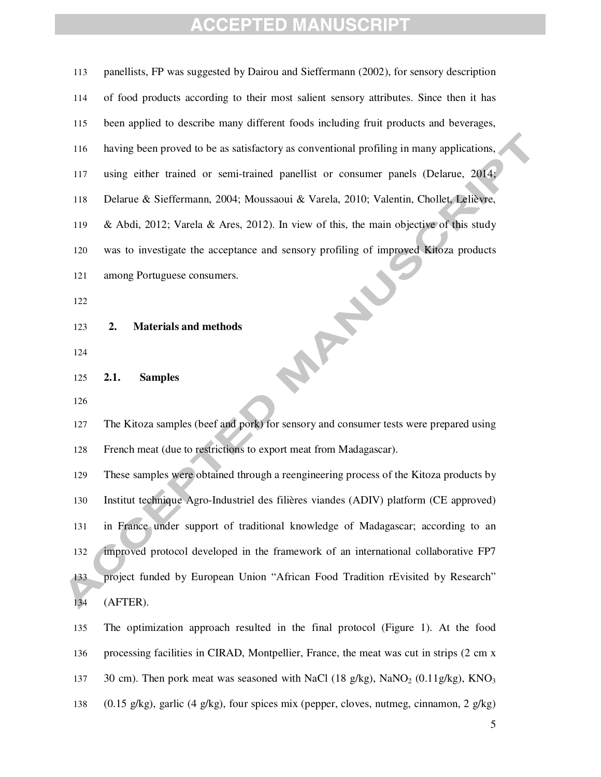panellists, FP was suggested by Dairou and Sieffermann (2002), for sensory description of food products according to their most salient sensory attributes. Since then it has been applied to describe many different foods including fruit products and beverages, having been proved to be as satisfactory as conventional profiling in many applications, using either trained or semi-trained panellist or consumer panels (Delarue, 2014; Delarue & Sieffermann, 2004; Moussaoui & Varela, 2010; Valentin, Chollet, Lelièvre, & Abdi, 2012; Varela & Ares, 2012). In view of this, the main objective of this study was to investigate the acceptance and sensory profiling of improved Kitoza products<br>
121 among Portuguese consumers.<br>
122<br>
123 2. Materials and methods<br>
124<br>
125 2.1. Sample: among Portuguese consumers. **2. Materials and methods 2.1. Samples**  The Kitoza samples (beef and pork) for sensory and consumer tests were prepared using French meat (due to restrictions to export meat from Madagascar). These samples were obtained through a reengineering process of the Kitoza products by Institut technique Agro-Industriel des filières viandes (ADIV) platform (CE approved) in France under support of traditional knowledge of Madagascar; according to an improved protocol developed in the framework of an international collaborative FP7 project funded by European Union "African Food Tradition rEvisited by Research" (AFTER). The optimization approach resulted in the final protocol (Figure 1). At the food processing facilities in CIRAD, Montpellier, France, the meat was cut in strips (2 cm x 137 30 cm). Then pork meat was seasoned with NaCl  $(18 \text{ g/kg})$ , NaNO<sub>2</sub>  $(0.11 \text{ g/kg})$ , KNO<sub>3</sub> (0.15 g/kg), garlic (4 g/kg), four spices mix (pepper, cloves, nutmeg, cinnamon, 2 g/kg)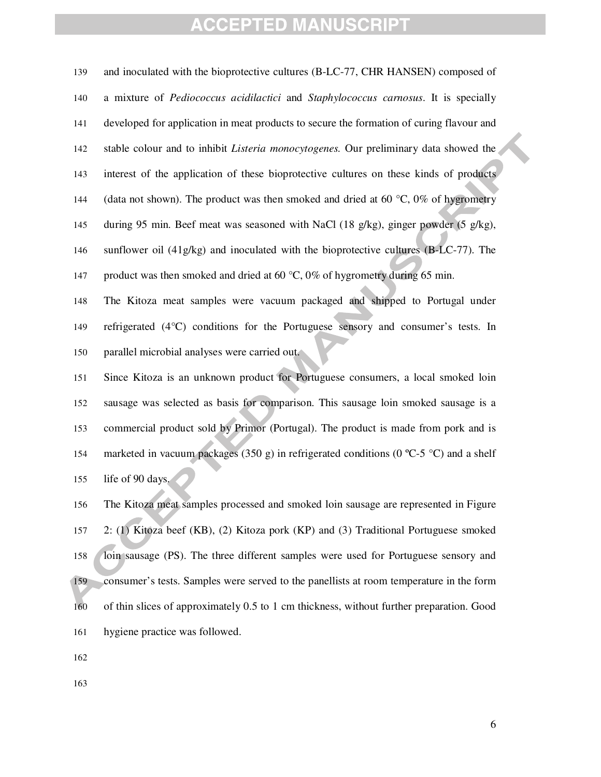and inoculated with the bioprotective cultures (B-LC-77, CHR HANSEN) composed of a mixture of *Pediococcus acidilactici* and *Staphylococcus carnosus*. It is specially developed for application in meat products to secure the formation of curing flavour and stable colour and to inhibit *Listeria monocytogenes.* Our preliminary data showed the interest of the application of these bioprotective cultures on these kinds of products 144 (data not shown). The product was then smoked and dried at 60  $\degree$ C, 0% of hygrometry during 95 min. Beef meat was seasoned with NaCl (18 g/kg), ginger powder (5 g/kg), sunflower oil (41g/kg) and inoculated with the bioprotective cultures (B-LC-77). The 147 product was then smoked and dried at 60  $\degree$ C, 0% of hygrometry during 65 min.

The Kitoza meat samples were vacuum packaged and shipped to Portugal under refrigerated (4°C) conditions for the Portuguese sensory and consumer's tests. In parallel microbial analyses were carried out.

Since Kitoza is an unknown product for Portuguese consumers, a local smoked loin sausage was selected as basis for comparison. This sausage loin smoked sausage is a commercial product sold by Primor (Portugal). The product is made from pork and is 154 marketed in vacuum packages (350 g) in refrigerated conditions (0 °C-5 °C) and a shelf life of 90 days.

The Kitoza meat samples processed and smoked loin sausage are represented in Figure 2: (1) Kitoza beef (KB), (2) Kitoza pork (KP) and (3) Traditional Portuguese smoked **loin sausage (PS).** The three different samples were used for Portuguese sensory and consumer's tests. Samples were served to the panellists at room temperature in the form of thin slices of approximately 0.5 to 1 cm thickness, without further preparation. Good hygiene practice was followed.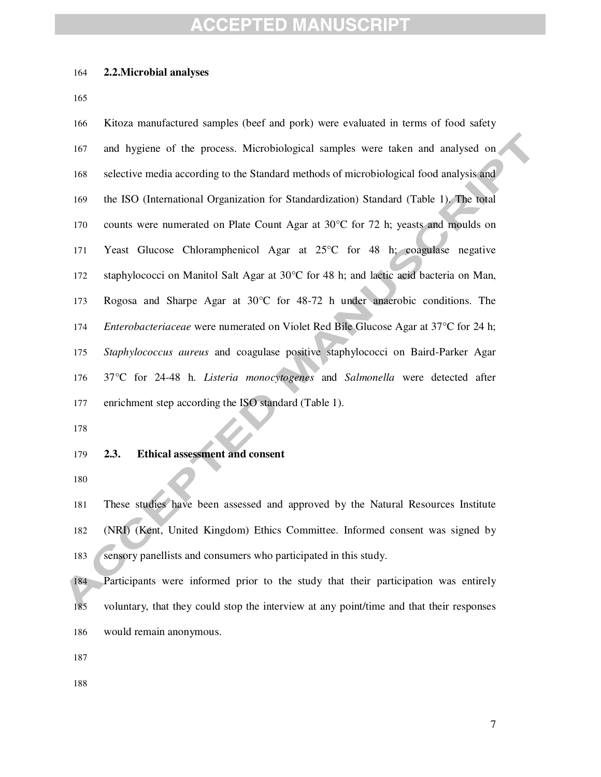#### **2.2.Microbial analyses**

Kitoza manufactured samples (beef and pork) were evaluated in terms of food safety and hygiene of the process. Microbiological samples were taken and analysed on selective media according to the Standard methods of microbiological food analysis and the ISO (International Organization for Standardization) Standard (Table 1). The total counts were numerated on Plate Count Agar at 30°C for 72 h; yeasts and moulds on Yeast Glucose Chloramphenicol Agar at 25°C for 48 h; coagulase negative staphylococci on Manitol Salt Agar at 30°C for 48 h; and lactic acid bacteria on Man, Rogosa and Sharpe Agar at 30°C for 48-72 h under anaerobic conditions. The *Enterobacteriaceae* were numerated on Violet Red Bile Glucose Agar at 37°C for 24 h; *Staphylococcus aureus* and coagulase positive staphylococci on Baird-Parker Agar 37°C for 24-48 h. *Listeria monocytogenes* and *Salmonella* were detected after enrichment step according the ISO standard (Table 1).

**2.3. Ethical assessment and consent** 

These studies have been assessed and approved by the Natural Resources Institute (NRI) (Kent, United Kingdom) Ethics Committee. Informed consent was signed by 183 sensory panellists and consumers who participated in this study.

Participants were informed prior to the study that their participation was entirely voluntary, that they could stop the interview at any point/time and that their responses would remain anonymous.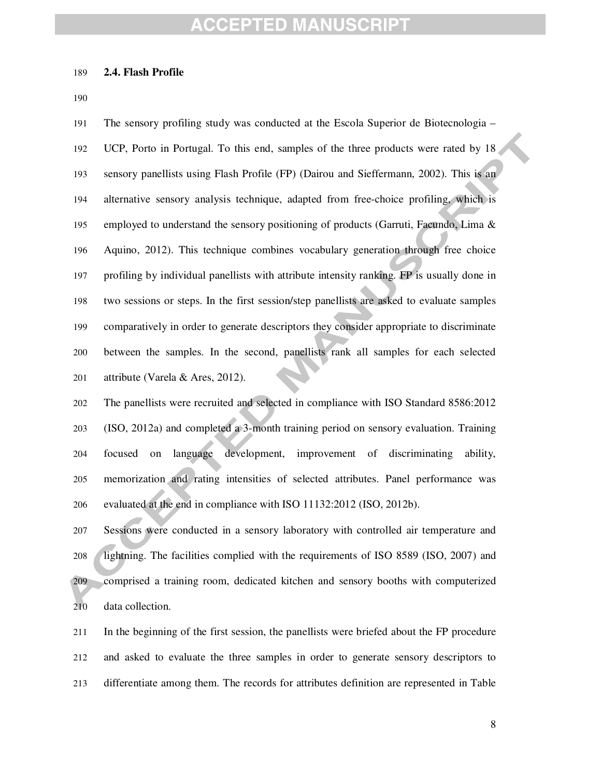#### **2.4. Flash Profile**

The sensory profiling study was conducted at the Escola Superior de Biotecnologia – UCP, Porto in Portugal. To this end, samples of the three products were rated by 18 sensory panellists using Flash Profile (FP) (Dairou and Sieffermann, 2002). This is an alternative sensory analysis technique, adapted from free-choice profiling, which is employed to understand the sensory positioning of products (Garruti, Facundo, Lima & Aquino, 2012). This technique combines vocabulary generation through free choice profiling by individual panellists with attribute intensity ranking. FP is usually done in two sessions or steps. In the first session/step panellists are asked to evaluate samples comparatively in order to generate descriptors they consider appropriate to discriminate between the samples. In the second, panellists rank all samples for each selected attribute (Varela & Ares, 2012).

The panellists were recruited and selected in compliance with ISO Standard 8586:2012 (ISO, 2012a) and completed a 3-month training period on sensory evaluation. Training focused on language development, improvement of discriminating ability, memorization and rating intensities of selected attributes. Panel performance was evaluated at the end in compliance with ISO 11132:2012 (ISO, 2012b).

Sessions were conducted in a sensory laboratory with controlled air temperature and lightning. The facilities complied with the requirements of ISO 8589 (ISO, 2007) and comprised a training room, dedicated kitchen and sensory booths with computerized data collection.

In the beginning of the first session, the panellists were briefed about the FP procedure and asked to evaluate the three samples in order to generate sensory descriptors to differentiate among them. The records for attributes definition are represented in Table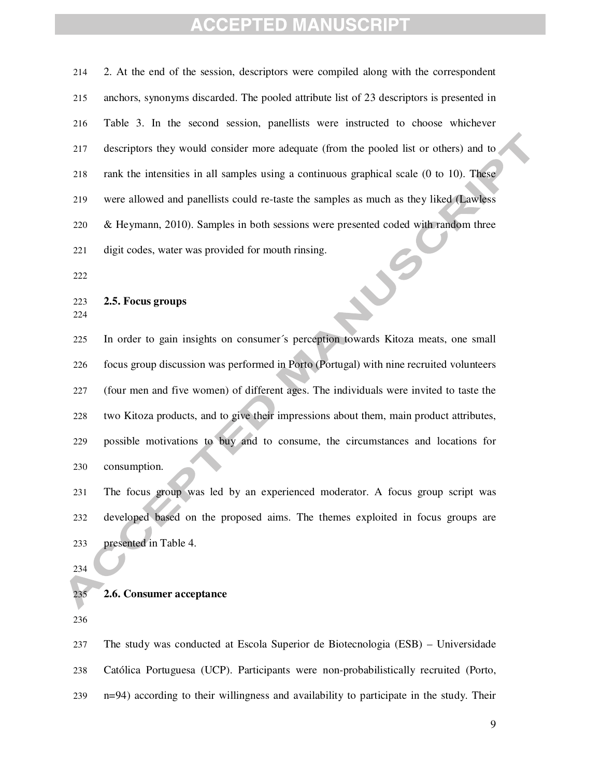2. At the end of the session, descriptors were compiled along with the correspondent anchors, synonyms discarded. The pooled attribute list of 23 descriptors is presented in Table 3. In the second session, panellists were instructed to choose whichever descriptors they would consider more adequate (from the pooled list or others) and to rank the intensities in all samples using a continuous graphical scale (0 to 10). These were allowed and panellists could re-taste the samples as much as they liked (Lawless & Heymann, 2010). Samples in both sessions were presented coded with random three digit codes, water was provided for mouth rinsing.

 $\mathcal{S}$ 

#### **2.5. Focus groups**

In order to gain insights on consumer´s perception towards Kitoza meats, one small focus group discussion was performed in Porto (Portugal) with nine recruited volunteers (four men and five women) of different ages. The individuals were invited to taste the two Kitoza products, and to give their impressions about them, main product attributes, possible motivations to buy and to consume, the circumstances and locations for consumption.

The focus group was led by an experienced moderator. A focus group script was developed based on the proposed aims. The themes exploited in focus groups are presented in Table 4.

#### **2.6. Consumer acceptance**

The study was conducted at Escola Superior de Biotecnologia (ESB) – Universidade Católica Portuguesa (UCP). Participants were non-probabilistically recruited (Porto, n=94) according to their willingness and availability to participate in the study. Their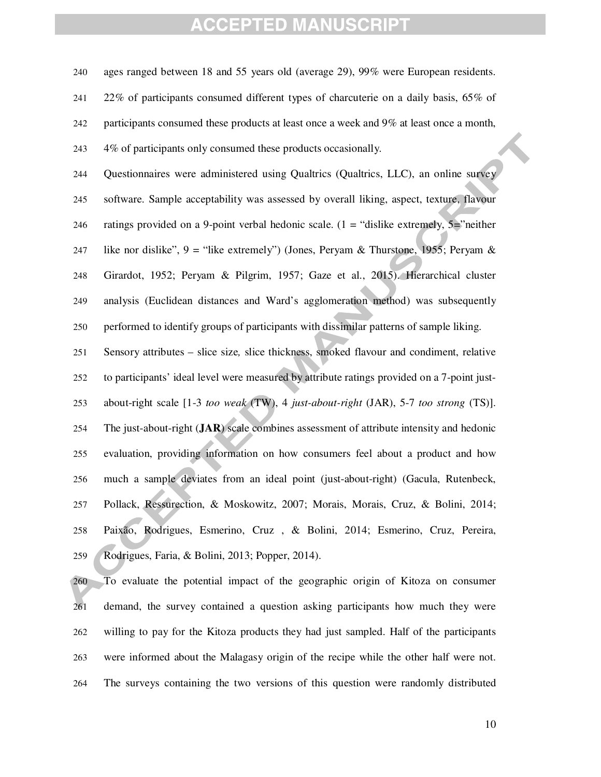ages ranged between 18 and 55 years old (average 29), 99% were European residents. 22% of participants consumed different types of charcuterie on a daily basis, 65% of participants consumed these products at least once a week and 9% at least once a month, 4% of participants only consumed these products occasionally. Questionnaires were administered using Qualtrics (Qualtrics, LLC), an online survey software. Sample acceptability was assessed by overall liking, aspect, texture, flavour 246 ratings provided on a 9-point verbal hedonic scale.  $(1 = "dislike extremely, 5="neq" neither")$ 247 like nor dislike",  $9 =$  "like extremely") (Jones, Peryam & Thurstone, 1955; Peryam & Girardot, 1952; Peryam & Pilgrim, 1957; Gaze et al., 2015). Hierarchical cluster analysis (Euclidean distances and Ward's agglomeration method) was subsequently performed to identify groups of participants with dissimilar patterns of sample liking. Sensory attributes – slice size*,* slice thickness, smoked flavour and condiment, relative to participants' ideal level were measured by attribute ratings provided on a 7-point just-about-right scale [1-3 *too weak* (TW), 4 *just-about-right* (JAR), 5-7 *too strong* (TS)]. The just-about-right (**JAR**) scale combines assessment of attribute intensity and hedonic evaluation, providing information on how consumers feel about a product and how much a sample deviates from an ideal point (just-about-right) (Gacula, Rutenbeck, Pollack, Ressurection, & Moskowitz, 2007; Morais, Morais, Cruz, & Bolini, 2014; Paixão, Rodrigues, Esmerino, Cruz , & Bolini, 2014; Esmerino, Cruz, Pereira, Rodrigues, Faria, & Bolini, 2013; Popper, 2014). To evaluate the potential impact of the geographic origin of Kitoza on consumer

demand, the survey contained a question asking participants how much they were willing to pay for the Kitoza products they had just sampled. Half of the participants were informed about the Malagasy origin of the recipe while the other half were not. The surveys containing the two versions of this question were randomly distributed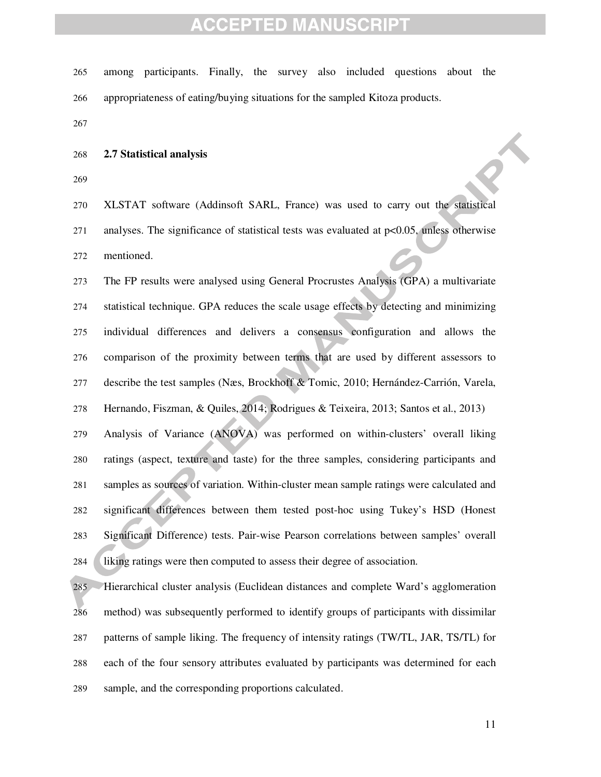- among participants. Finally, the survey also included questions about the appropriateness of eating/buying situations for the sampled Kitoza products.
- 

#### **2.7 Statistical analysis**

XLSTAT software (Addinsoft SARL, France) was used to carry out the statistical analyses. The significance of statistical tests was evaluated at p<0.05, unless otherwise mentioned.

The FP results were analysed using General Procrustes Analysis (GPA) a multivariate statistical technique. GPA reduces the scale usage effects by detecting and minimizing individual differences and delivers a consensus configuration and allows the comparison of the proximity between terms that are used by different assessors to describe the test samples (Næs, Brockhoff & Tomic, 2010; Hernández-Carrión, Varela, Hernando, Fiszman, & Quiles, 2014; Rodrigues & Teixeira, 2013; Santos et al., 2013) Analysis of Variance (ANOVA) was performed on within-clusters' overall liking ratings (aspect, texture and taste) for the three samples, considering participants and samples as sources of variation. Within-cluster mean sample ratings were calculated and significant differences between them tested post-hoc using Tukey's HSD (Honest Significant Difference) tests. Pair-wise Pearson correlations between samples' overall liking ratings were then computed to assess their degree of association.

Hierarchical cluster analysis (Euclidean distances and complete Ward's agglomeration method) was subsequently performed to identify groups of participants with dissimilar patterns of sample liking. The frequency of intensity ratings (TW/TL, JAR, TS/TL) for each of the four sensory attributes evaluated by participants was determined for each sample, and the corresponding proportions calculated.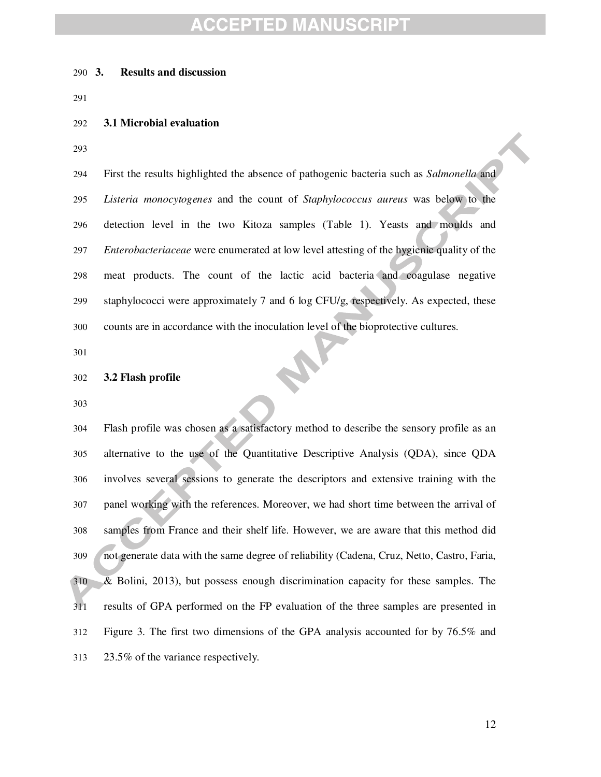#### **3. Results and discussion**

#### **3.1 Microbial evaluation**

First the results highlighted the absence of pathogenic bacteria such as *Salmonella* and *Listeria monocytogenes* and the count of *Staphylococcus aureus* was below to the detection level in the two Kitoza samples (Table 1). Yeasts and moulds and *Enterobacteriaceae* were enumerated at low level attesting of the hygienic quality of the meat products. The count of the lactic acid bacteria and coagulase negative 299 staphylococci were approximately 7 and 6 log CFU/g, respectively. As expected, these counts are in accordance with the inoculation level of the bioprotective cultures.

#### **3.2 Flash profile**

Flash profile was chosen as a satisfactory method to describe the sensory profile as an alternative to the use of the Quantitative Descriptive Analysis (QDA), since QDA involves several sessions to generate the descriptors and extensive training with the panel working with the references. Moreover, we had short time between the arrival of samples from France and their shelf life. However, we are aware that this method did not generate data with the same degree of reliability (Cadena, Cruz, Netto, Castro, Faria, & Bolini, 2013), but possess enough discrimination capacity for these samples. The results of GPA performed on the FP evaluation of the three samples are presented in Figure 3. The first two dimensions of the GPA analysis accounted for by 76.5% and 23.5% of the variance respectively.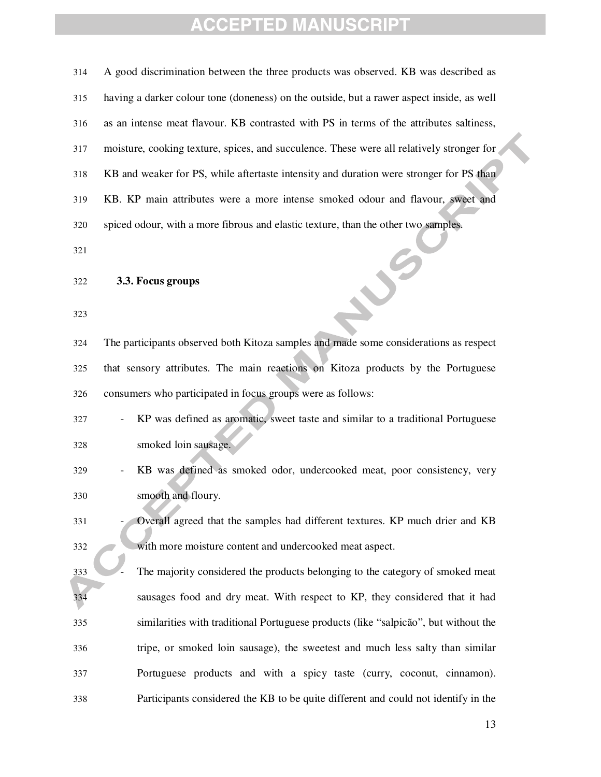| 314 | A good discrimination between the three products was observed. KB was described as        |
|-----|-------------------------------------------------------------------------------------------|
| 315 | having a darker colour tone (doneness) on the outside, but a rawer aspect inside, as well |
| 316 | as an intense meat flavour. KB contrasted with PS in terms of the attributes saltiness,   |
| 317 | moisture, cooking texture, spices, and succulence. These were all relatively stronger for |
| 318 | KB and weaker for PS, while aftertaste intensity and duration were stronger for PS than   |
| 319 | KB. KP main attributes were a more intense smoked odour and flavour, sweet and            |
| 320 | spiced odour, with a more fibrous and elastic texture, than the other two samples.        |
| 321 |                                                                                           |
| 322 | 3.3. Focus groups                                                                         |
| 323 |                                                                                           |
| 324 | The participants observed both Kitoza samples and made some considerations as respect     |
| 325 | that sensory attributes. The main reactions on Kitoza products by the Portuguese          |
| 326 | consumers who participated in focus groups were as follows:                               |
| 327 | KP was defined as aromatic, sweet taste and similar to a traditional Portuguese           |
| 328 | smoked loin sausage.                                                                      |
| 329 | KB was defined as smoked odor, undercooked meat, poor consistency, very                   |
| 330 | smooth and floury.                                                                        |
| 331 | Overall agreed that the samples had different textures. KP much drier and KB              |
| 332 | with more moisture content and undercooked meat aspect.                                   |
| 333 | The majority considered the products belonging to the category of smoked meat             |
| 334 | sausages food and dry meat. With respect to KP, they considered that it had               |
| 335 | similarities with traditional Portuguese products (like "salpicão", but without the       |
| 336 | tripe, or smoked loin sausage), the sweetest and much less salty than similar             |
| 337 | Portuguese products and with a spicy taste (curry, coconut, cinnamon).                    |
| 338 | Participants considered the KB to be quite different and could not identify in the        |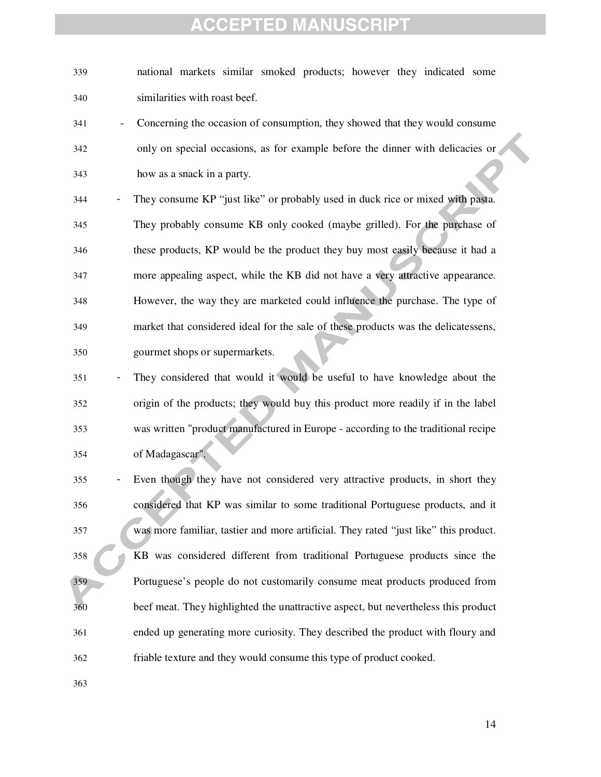national markets similar smoked products; however they indicated some similarities with roast beef.

- Concerning the occasion of consumption, they showed that they would consume only on special occasions, as for example before the dinner with delicacies or how as a snack in a party.
- They consume KP "just like" or probably used in duck rice or mixed with pasta. They probably consume KB only cooked (maybe grilled). For the purchase of these products, KP would be the product they buy most easily because it had a more appealing aspect, while the KB did not have a very attractive appearance. However, the way they are marketed could influence the purchase. The type of market that considered ideal for the sale of these products was the delicatessens, gourmet shops or supermarkets.
- They considered that would it would be useful to have knowledge about the origin of the products; they would buy this product more readily if in the label was written "product manufactured in Europe - according to the traditional recipe of Madagascar".
- Even though they have not considered very attractive products, in short they considered that KP was similar to some traditional Portuguese products, and it was more familiar, tastier and more artificial. They rated "just like" this product. KB was considered different from traditional Portuguese products since the Portuguese's people do not customarily consume meat products produced from beef meat. They highlighted the unattractive aspect, but nevertheless this product ended up generating more curiosity. They described the product with floury and friable texture and they would consume this type of product cooked.
-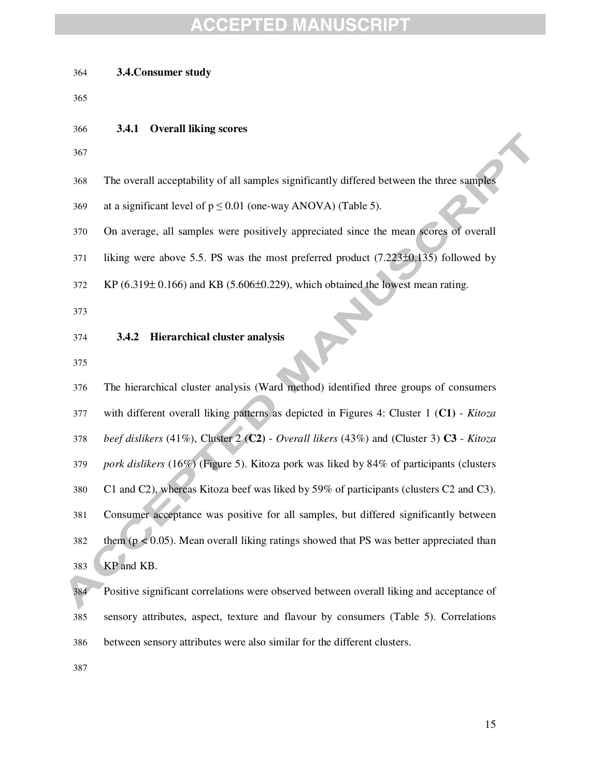| 364        | 3.4. Consumer study                                                                                                                                              |
|------------|------------------------------------------------------------------------------------------------------------------------------------------------------------------|
| 365        |                                                                                                                                                                  |
| 366        | <b>Overall liking scores</b><br>3.4.1                                                                                                                            |
| 367        |                                                                                                                                                                  |
| 368        | The overall acceptability of all samples significantly differed between the three samples                                                                        |
| 369        | at a significant level of $p \le 0.01$ (one-way ANOVA) (Table 5).                                                                                                |
| 370        | On average, all samples were positively appreciated since the mean scores of overall                                                                             |
| 371        | liking were above 5.5. PS was the most preferred product $(7.223\pm0.135)$ followed by                                                                           |
| 372        | KP $(6.319 \pm 0.166)$ and KB $(5.606 \pm 0.229)$ , which obtained the lowest mean rating.                                                                       |
| 373        |                                                                                                                                                                  |
| 374        | Hierarchical cluster analysis<br>3.4.2                                                                                                                           |
| 375        |                                                                                                                                                                  |
| 376        | The hierarchical cluster analysis (Ward method) identified three groups of consumers                                                                             |
| 377        | with different overall liking patterns as depicted in Figures 4: Cluster 1 (C1) - Kitoza                                                                         |
| 378        | beef dislikers (41%), Cluster 2 (C2) - Overall likers (43%) and (Cluster 3) C3 - Kitoza                                                                          |
| 379        | pork dislikers (16%) (Figure 5). Kitoza pork was liked by 84% of participants (clusters                                                                          |
| 380        | C1 and C2), whereas Kitoza beef was liked by 59% of participants (clusters C2 and C3).                                                                           |
| 381        | Consumer acceptance was positive for all samples, but differed significantly between                                                                             |
| 382        | them ( $p < 0.05$ ). Mean overall liking ratings showed that PS was better appreciated than                                                                      |
| 383        | KP and KB.                                                                                                                                                       |
| 384        | Positive significant correlations were observed between overall liking and acceptance of                                                                         |
| 385<br>386 | sensory attributes, aspect, texture and flavour by consumers (Table 5). Correlations<br>between sensory attributes were also similar for the different clusters. |
| 387        |                                                                                                                                                                  |
|            |                                                                                                                                                                  |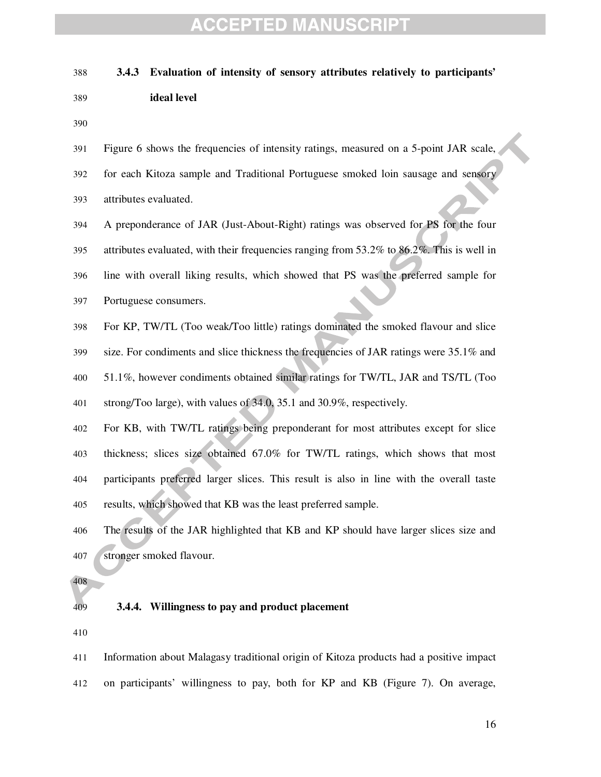#### **3.4.3 Evaluation of intensity of sensory attributes relatively to participants'**

**ideal level** 

| 391 | Figure 6 shows the frequencies of intensity ratings, measured on a 5-point JAR scale,     |
|-----|-------------------------------------------------------------------------------------------|
| 392 | for each Kitoza sample and Traditional Portuguese smoked loin sausage and sensory         |
| 393 | attributes evaluated.                                                                     |
| 394 | A preponderance of JAR (Just-About-Right) ratings was observed for PS for the four        |
| 395 | attributes evaluated, with their frequencies ranging from 53.2% to 86.2%. This is well in |
| 396 | line with overall liking results, which showed that PS was the preferred sample for       |
| 397 | Portuguese consumers.                                                                     |
| 398 | For KP, TW/TL (Too weak/Too little) ratings dominated the smoked flavour and slice        |
| 399 | size. For condiments and slice thickness the frequencies of JAR ratings were 35.1% and    |
| 400 | 51.1%, however condiments obtained similar ratings for TW/TL, JAR and TS/TL (Too          |
| 401 | strong/Too large), with values of 34.0, 35.1 and 30.9%, respectively.                     |
| 402 | For KB, with TW/TL ratings being preponderant for most attributes except for slice        |
| 403 | thickness; slices size obtained 67.0% for TW/TL ratings, which shows that most            |
| 404 | participants preferred larger slices. This result is also in line with the overall taste  |
| 405 | results, which showed that KB was the least preferred sample.                             |
| 406 | The results of the JAR highlighted that KB and KP should have larger slices size and      |
| 407 | stronger smoked flavour.                                                                  |
| 408 |                                                                                           |

#### **3.4.4. Willingness to pay and product placement**

Information about Malagasy traditional origin of Kitoza products had a positive impact on participants' willingness to pay, both for KP and KB (Figure 7). On average,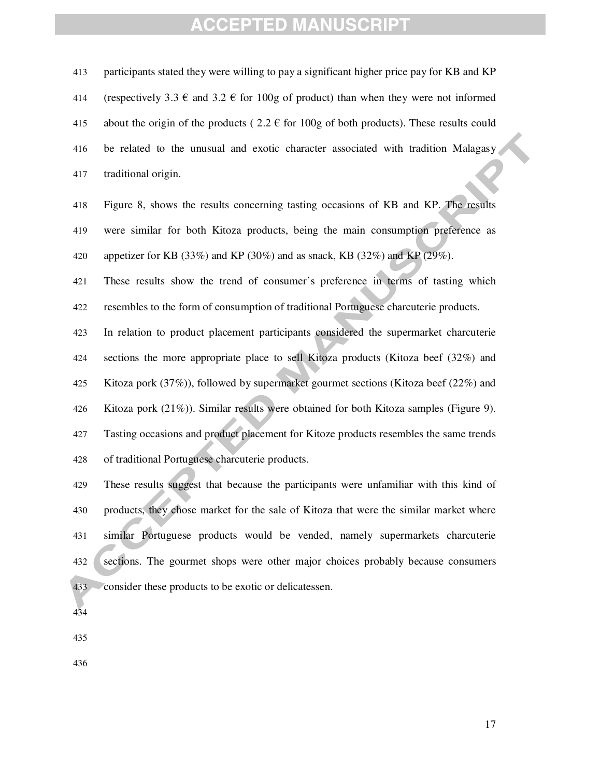participants stated they were willing to pay a significant higher price pay for KB and KP 414 (respectively 3.3  $\epsilon$  and 3.2  $\epsilon$  for 100g of product) than when they were not informed 415 about the origin of the products ( $2.2 \text{ } \in$  for 100g of both products). These results could be related to the unusual and exotic character associated with tradition Malagasy traditional origin.

Figure 8, shows the results concerning tasting occasions of KB and KP. The results were similar for both Kitoza products, being the main consumption preference as 420 appetizer for KB (33%) and KP (30%) and as snack, KB (32%) and KP (29%).

These results show the trend of consumer's preference in terms of tasting which resembles to the form of consumption of traditional Portuguese charcuterie products.

In relation to product placement participants considered the supermarket charcuterie sections the more appropriate place to sell Kitoza products (Kitoza beef (32%) and Kitoza pork (37%)), followed by supermarket gourmet sections (Kitoza beef (22%) and Kitoza pork (21%)). Similar results were obtained for both Kitoza samples (Figure 9). Tasting occasions and product placement for Kitoze products resembles the same trends of traditional Portuguese charcuterie products.

These results suggest that because the participants were unfamiliar with this kind of products, they chose market for the sale of Kitoza that were the similar market where similar Portuguese products would be vended, namely supermarkets charcuterie sections. The gourmet shops were other major choices probably because consumers consider these products to be exotic or delicatessen.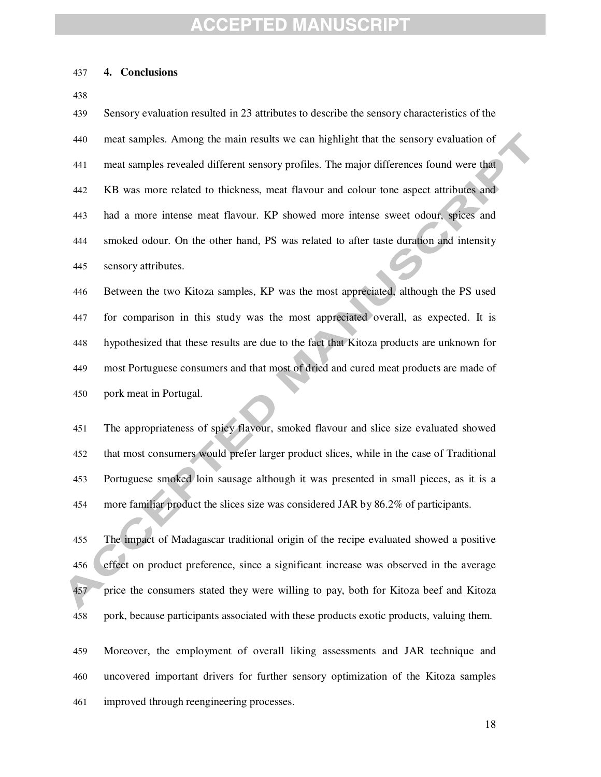#### **4. Conclusions**

Sensory evaluation resulted in 23 attributes to describe the sensory characteristics of the meat samples. Among the main results we can highlight that the sensory evaluation of meat samples revealed different sensory profiles. The major differences found were that KB was more related to thickness, meat flavour and colour tone aspect attributes and had a more intense meat flavour. KP showed more intense sweet odour, spices and smoked odour. On the other hand, PS was related to after taste duration and intensity sensory attributes.

Between the two Kitoza samples, KP was the most appreciated, although the PS used for comparison in this study was the most appreciated overall, as expected. It is hypothesized that these results are due to the fact that Kitoza products are unknown for most Portuguese consumers and that most of dried and cured meat products are made of pork meat in Portugal.

The appropriateness of spicy flavour, smoked flavour and slice size evaluated showed that most consumers would prefer larger product slices, while in the case of Traditional Portuguese smoked loin sausage although it was presented in small pieces, as it is a more familiar product the slices size was considered JAR by 86.2% of participants.

The impact of Madagascar traditional origin of the recipe evaluated showed a positive effect on product preference, since a significant increase was observed in the average 457 price the consumers stated they were willing to pay, both for Kitoza beef and Kitoza pork, because participants associated with these products exotic products, valuing them*.* 

Moreover, the employment of overall liking assessments and JAR technique and uncovered important drivers for further sensory optimization of the Kitoza samples improved through reengineering processes.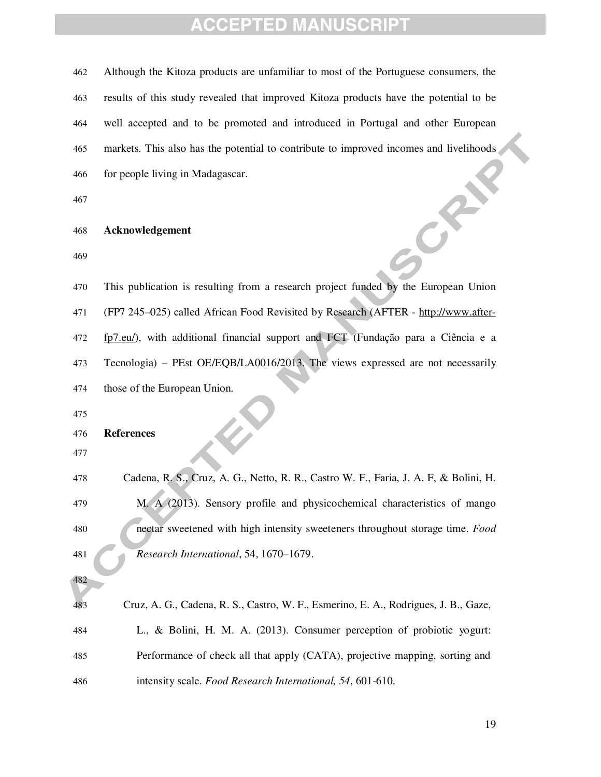| 462        | Although the Kitoza products are unfamiliar to most of the Portuguese consumers, the   |
|------------|----------------------------------------------------------------------------------------|
| 463        | results of this study revealed that improved Kitoza products have the potential to be  |
| 464        | well accepted and to be promoted and introduced in Portugal and other European         |
| 465        | markets. This also has the potential to contribute to improved incomes and livelihoods |
| 466        | for people living in Madagascar.                                                       |
| 467        |                                                                                        |
| 468        | Acknowledgement                                                                        |
| 469        |                                                                                        |
| 470        | This publication is resulting from a research project funded by the European Union     |
| 471        | (FP7 245–025) called African Food Revisited by Research (AFTER - http://www.after-     |
| 472        | fp7.eu/), with additional financial support and FCT (Fundação para a Ciência e a       |
| 473        | Tecnologia) - PEst OE/EQB/LA0016/2013. The views expressed are not necessarily         |
| 474        | those of the European Union.                                                           |
| 475        |                                                                                        |
| 476<br>477 | <b>References</b>                                                                      |
| 478        | Cadena, R. S., Cruz, A. G., Netto, R. R., Castro W. F., Faria, J. A. F, & Bolini, H.   |
| 479        | M. A (2013). Sensory profile and physicochemical characteristics of mango              |
| 480        | nectar sweetened with high intensity sweeteners throughout storage time. Food          |
| 481        | Research International, 54, 1670-1679.                                                 |
| 482        |                                                                                        |
| 483        | Cruz, A. G., Cadena, R. S., Castro, W. F., Esmerino, E. A., Rodrigues, J. B., Gaze,    |
| 484        | L., & Bolini, H. M. A. (2013). Consumer perception of probiotic yogurt:                |
| 485        | Performance of check all that apply (CATA), projective mapping, sorting and            |
| 486        | intensity scale. Food Research International, 54, 601-610.                             |
|            |                                                                                        |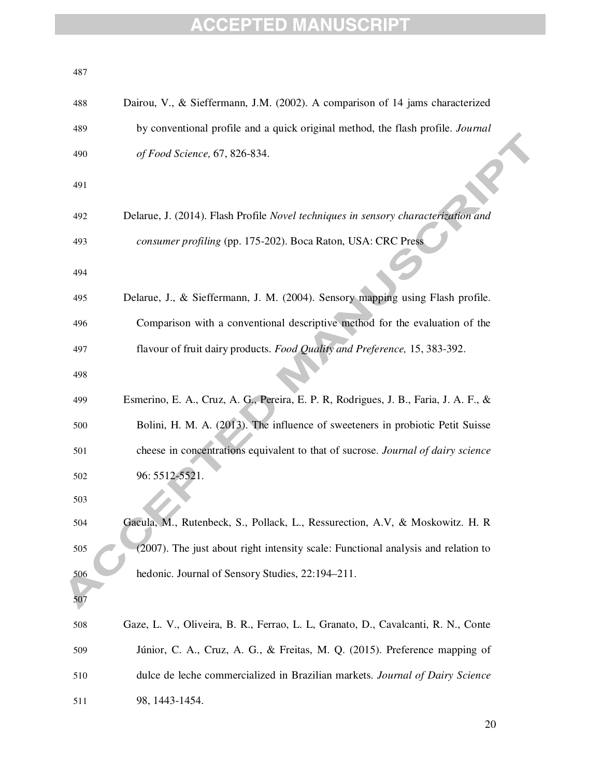| 487 |                                                                                      |
|-----|--------------------------------------------------------------------------------------|
| 488 | Dairou, V., & Sieffermann, J.M. (2002). A comparison of 14 jams characterized        |
| 489 | by conventional profile and a quick original method, the flash profile. Journal      |
| 490 | of Food Science, 67, 826-834.                                                        |
| 491 |                                                                                      |
| 492 | Delarue, J. (2014). Flash Profile Novel techniques in sensory characterization and   |
| 493 | consumer profiling (pp. 175-202). Boca Raton, USA: CRC Press                         |
| 494 |                                                                                      |
| 495 | Delarue, J., & Sieffermann, J. M. (2004). Sensory mapping using Flash profile.       |
| 496 | Comparison with a conventional descriptive method for the evaluation of the          |
| 497 | flavour of fruit dairy products. Food Quality and Preference, 15, 383-392.           |
| 498 |                                                                                      |
| 499 | Esmerino, E. A., Cruz, A. G., Pereira, E. P. R, Rodrigues, J. B., Faria, J. A. F., & |
| 500 | Bolini, H. M. A. (2013). The influence of sweeteners in probiotic Petit Suisse       |
| 501 | cheese in concentrations equivalent to that of sucrose. Journal of dairy science     |
| 502 | 96: 5512-5521.                                                                       |
| 503 |                                                                                      |
| 504 | Gacula, M., Rutenbeck, S., Pollack, L., Ressurection, A.V, & Moskowitz. H. R         |
| 505 | (2007). The just about right intensity scale: Functional analysis and relation to    |
| 506 | hedonic. Journal of Sensory Studies, 22:194-211.                                     |
| 507 |                                                                                      |
| 508 | Gaze, L. V., Oliveira, B. R., Ferrao, L. L, Granato, D., Cavalcanti, R. N., Conte    |
| 509 | Júnior, C. A., Cruz, A. G., & Freitas, M. Q. (2015). Preference mapping of           |
| 510 | dulce de leche commercialized in Brazilian markets. Journal of Dairy Science         |
| 511 | 98, 1443-1454.                                                                       |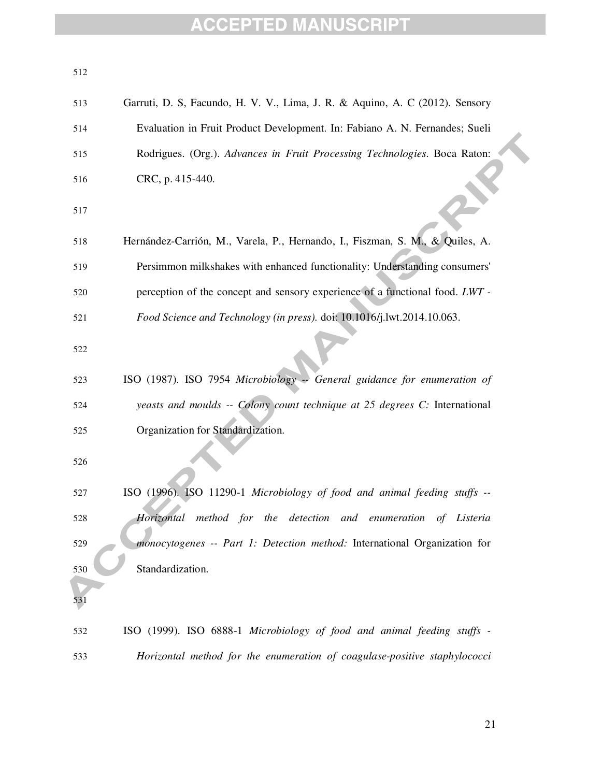| 512 |                                                                               |
|-----|-------------------------------------------------------------------------------|
| 513 | Garruti, D. S., Facundo, H. V. V., Lima, J. R. & Aquino, A. C (2012). Sensory |
| 514 | Evaluation in Fruit Product Development. In: Fabiano A. N. Fernandes; Sueli   |
| 515 | Rodrigues. (Org.). Advances in Fruit Processing Technologies. Boca Raton:     |
| 516 | CRC, p. 415-440.                                                              |
| 517 |                                                                               |
| 518 | Hernández-Carrión, M., Varela, P., Hernando, I., Fiszman, S. M., & Quiles, A. |
| 519 | Persimmon milkshakes with enhanced functionality: Understanding consumers'    |
| 520 | perception of the concept and sensory experience of a functional food. LWT -  |
| 521 | Food Science and Technology (in press). doi: 10.1016/j.lwt.2014.10.063.       |
| 522 |                                                                               |
| 523 | ISO (1987). ISO 7954 Microbiology -- General guidance for enumeration of      |
| 524 | yeasts and moulds -- Colony count technique at 25 degrees C: International    |
| 525 | Organization for Standardization.                                             |
| 526 |                                                                               |
| 527 | ISO (1996). ISO 11290-1 Microbiology of food and animal feeding stuffs --     |
| 528 | Horizontal method for the detection and enumeration of Listeria               |
| 529 | monocytogenes -- Part 1: Detection method: International Organization for     |
| 530 | Standardization.                                                              |
| 531 |                                                                               |
| 532 | ISO (1999). ISO 6888-1 Microbiology of food and animal feeding stuffs -       |
| 533 | Horizontal method for the enumeration of coagulase-positive staphylococci     |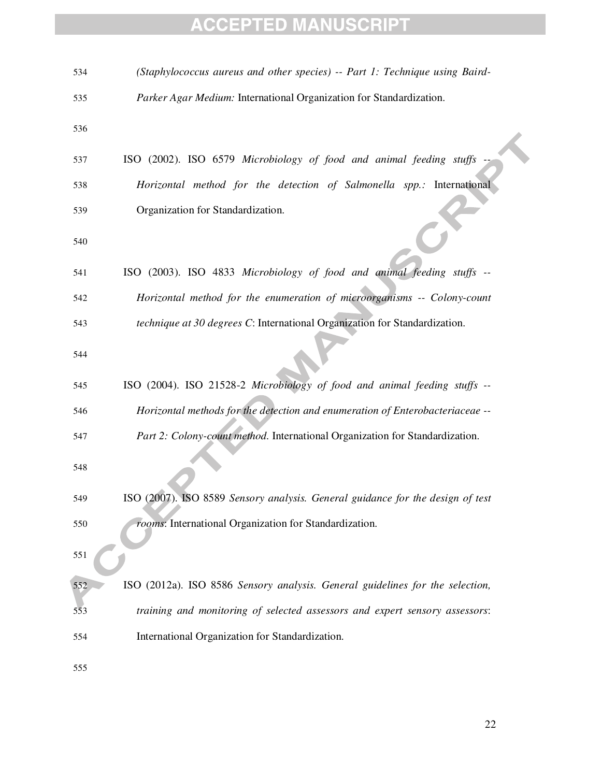| 534 | (Staphylococcus aureus and other species) -- Part 1: Technique using Baird-    |
|-----|--------------------------------------------------------------------------------|
| 535 | Parker Agar Medium: International Organization for Standardization.            |
| 536 |                                                                                |
| 537 | ISO (2002). ISO 6579 Microbiology of food and animal feeding stuffs            |
| 538 | Horizontal method for the detection of Salmonella spp.: International          |
| 539 | Organization for Standardization.                                              |
| 540 |                                                                                |
| 541 | ISO (2003). ISO 4833 Microbiology of food and animal feeding stuffs --         |
| 542 | Horizontal method for the enumeration of microorganisms -- Colony-count        |
| 543 | technique at 30 degrees C: International Organization for Standardization.     |
| 544 |                                                                                |
| 545 | ISO (2004). ISO 21528-2 Microbiology of food and animal feeding stuffs --      |
| 546 | Horizontal methods for the detection and enumeration of Enterobacteriaceae --  |
| 547 | Part 2: Colony-count method. International Organization for Standardization.   |
| 548 |                                                                                |
| 549 | ISO (2007). ISO 8589 Sensory analysis. General guidance for the design of test |
| 550 | rooms: International Organization for Standardization.                         |
| 551 |                                                                                |
| 552 | ISO (2012a). ISO 8586 Sensory analysis. General guidelines for the selection,  |
| 553 | training and monitoring of selected assessors and expert sensory assessors:    |
| 554 | International Organization for Standardization.                                |
| 555 |                                                                                |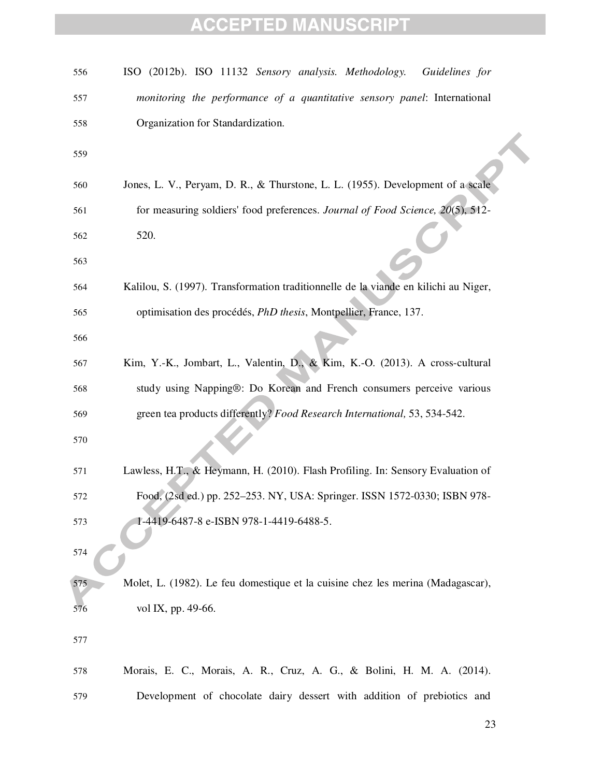| 556 | ISO (2012b). ISO 11132 Sensory analysis. Methodology.<br>Guidelines for             |
|-----|-------------------------------------------------------------------------------------|
| 557 | monitoring the performance of a quantitative sensory panel: International           |
| 558 | Organization for Standardization.                                                   |
| 559 |                                                                                     |
| 560 | Jones, L. V., Peryam, D. R., & Thurstone, L. L. (1955). Development of a scale      |
| 561 | for measuring soldiers' food preferences. Journal of Food Science, 20(5), 512-      |
| 562 | 520.                                                                                |
| 563 |                                                                                     |
| 564 | Kalilou, S. (1997). Transformation traditionnelle de la viande en kilichi au Niger, |
| 565 | optimisation des procédés, PhD thesis, Montpellier, France, 137.                    |
| 566 |                                                                                     |
| 567 | Kim, Y.-K., Jombart, L., Valentin, D., & Kim, K.-O. (2013). A cross-cultural        |
| 568 | study using Napping®: Do Korean and French consumers perceive various               |
| 569 | green tea products differently? Food Research International, 53, 534-542.           |
| 570 |                                                                                     |
| 571 | Lawless, H.T., & Heymann, H. (2010). Flash Profiling. In: Sensory Evaluation of     |
| 572 | Food, (2sd ed.) pp. 252-253. NY, USA: Springer. ISSN 1572-0330; ISBN 978-           |
| 573 | 1-4419-6487-8 e-ISBN 978-1-4419-6488-5.                                             |
| 574 |                                                                                     |
| 575 | Molet, L. (1982). Le feu domestique et la cuisine chez les merina (Madagascar),     |
| 576 | vol IX, pp. 49-66.                                                                  |
| 577 |                                                                                     |
| 578 | Morais, E. C., Morais, A. R., Cruz, A. G., & Bolini, H. M. A. (2014).               |
| 579 | Development of chocolate dairy dessert with addition of prebiotics and              |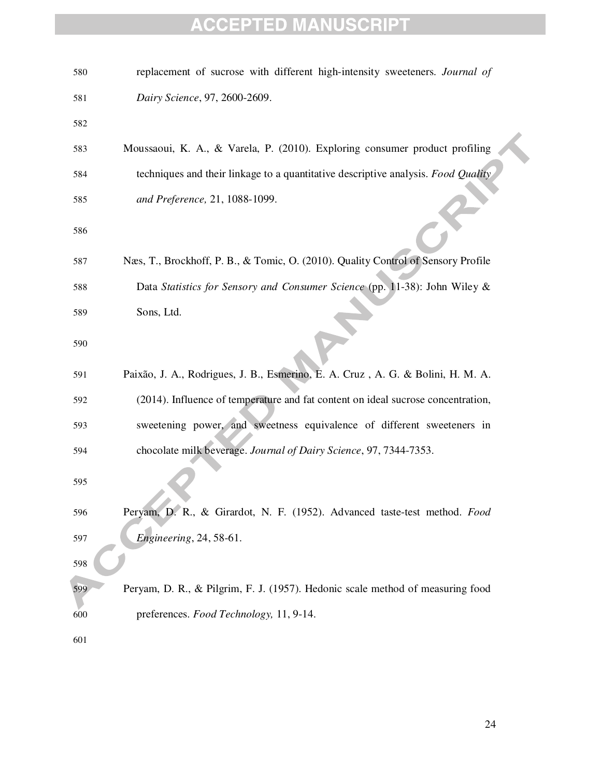| 580 | replacement of sucrose with different high-intensity sweeteners. Journal of       |
|-----|-----------------------------------------------------------------------------------|
| 581 | Dairy Science, 97, 2600-2609.                                                     |
| 582 |                                                                                   |
| 583 | Moussaoui, K. A., & Varela, P. (2010). Exploring consumer product profiling       |
| 584 | techniques and their linkage to a quantitative descriptive analysis. Food Quality |
| 585 | and Preference, 21, 1088-1099.                                                    |
| 586 |                                                                                   |
| 587 | Næs, T., Brockhoff, P. B., & Tomic, O. (2010). Quality Control of Sensory Profile |
| 588 | Data Statistics for Sensory and Consumer Science (pp. 11-38): John Wiley &        |
| 589 | Sons, Ltd.                                                                        |
| 590 |                                                                                   |
| 591 | Paixão, J. A., Rodrigues, J. B., Esmerino, E. A. Cruz, A. G. & Bolini, H. M. A.   |
| 592 | (2014). Influence of temperature and fat content on ideal sucrose concentration,  |
| 593 | sweetening power, and sweetness equivalence of different sweeteners in            |
| 594 | chocolate milk beverage. Journal of Dairy Science, 97, 7344-7353.                 |
| 595 |                                                                                   |
| 596 | Peryam, D. R., & Girardot, N. F. (1952). Advanced taste-test method. Food         |
| 597 | <i>Engineering</i> , 24, 58-61.                                                   |
| 598 |                                                                                   |
| 599 | Peryam, D. R., & Pilgrim, F. J. (1957). Hedonic scale method of measuring food    |
| 600 | preferences. Food Technology, 11, 9-14.                                           |
| 601 |                                                                                   |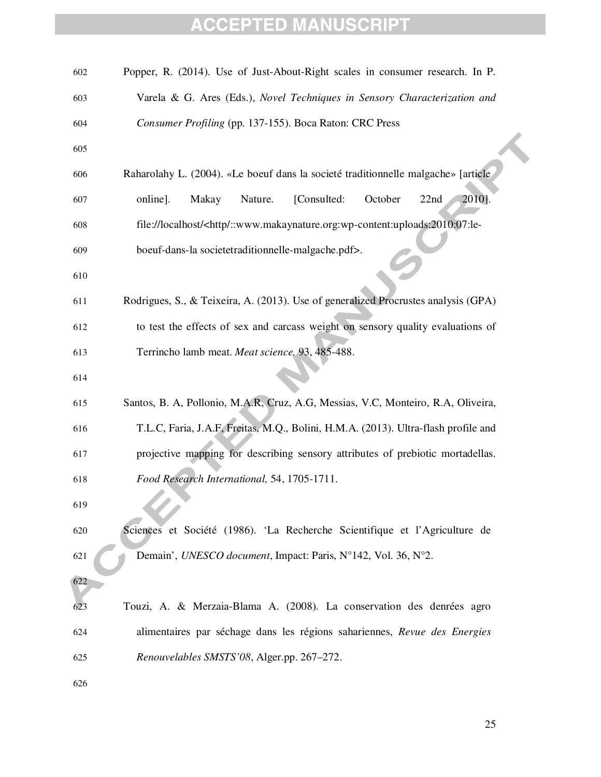| 602 | Popper, R. (2014). Use of Just-About-Right scales in consumer research. In P.                  |
|-----|------------------------------------------------------------------------------------------------|
| 603 | Varela & G. Ares (Eds.), Novel Techniques in Sensory Characterization and                      |
| 604 | Consumer Profiling (pp. 137-155). Boca Raton: CRC Press                                        |
| 605 |                                                                                                |
| 606 | Raharolahy L. (2004). «Le boeuf dans la societé traditionnelle malgache» [article              |
| 607 | 2010].<br>Makay<br>Nature.<br>[Consulted:<br>October<br>22nd<br>online].                       |
| 608 | file://localhost/ <http ::www.makaynature.org:wp-content:uploads:2010:07:le-<="" td=""></http> |
| 609 | boeuf-dans-la societetraditionnelle-malgache.pdf>.                                             |
| 610 |                                                                                                |
| 611 | Rodrigues, S., & Teixeira, A. (2013). Use of generalized Procrustes analysis (GPA)             |
| 612 | to test the effects of sex and carcass weight on sensory quality evaluations of                |
| 613 | Terrincho lamb meat. Meat science, 93, 485-488.                                                |
| 614 |                                                                                                |
| 615 | Santos, B. A, Pollonio, M.A.R, Cruz, A.G, Messias, V.C, Monteiro, R.A, Oliveira,               |
| 616 | T.L.C, Faria, J.A.F, Freitas, M.Q., Bolini, H.M.A. (2013). Ultra-flash profile and             |
| 617 | projective mapping for describing sensory attributes of prebiotic mortadellas.                 |
| 618 | Food Research International, 54, 1705-1711.                                                    |
| 619 |                                                                                                |
| 620 | Sciences et Société (1986). 'La Recherche Scientifique et l'Agriculture de                     |
| 621 | Demain', UNESCO document, Impact: Paris, N°142, Vol. 36, N°2.                                  |
| 622 |                                                                                                |
| 623 | Touzi, A. & Merzaia-Blama A. (2008). La conservation des denrées agro                          |
| 624 | alimentaires par séchage dans les régions sahariennes, Revue des Energies                      |
| 625 | Renouvelables SMSTS'08, Alger.pp. 267-272.                                                     |
| 626 |                                                                                                |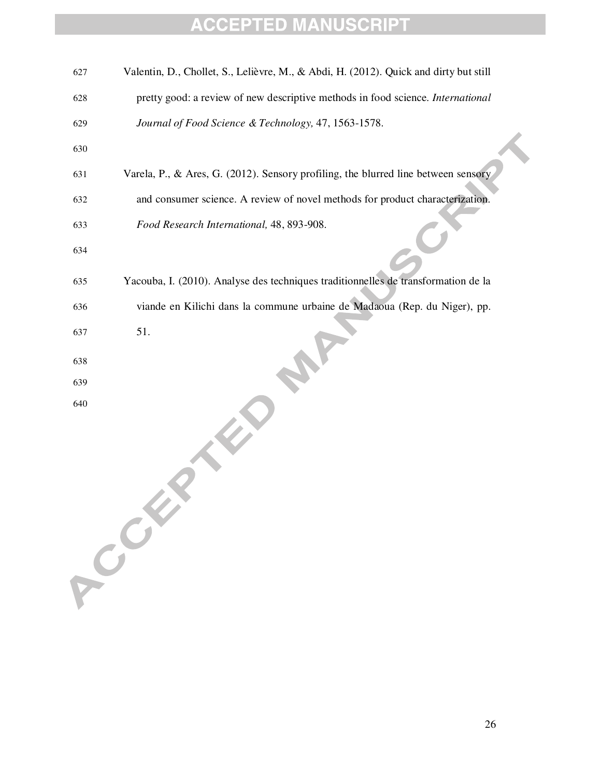| 627 | Valentin, D., Chollet, S., Lelièvre, M., & Abdi, H. (2012). Quick and dirty but still |
|-----|---------------------------------------------------------------------------------------|
| 628 | pretty good: a review of new descriptive methods in food science. International       |
| 629 | Journal of Food Science & Technology, 47, 1563-1578.                                  |
| 630 |                                                                                       |
| 631 | Varela, P., & Ares, G. (2012). Sensory profiling, the blurred line between sensory    |
| 632 | and consumer science. A review of novel methods for product characterization.         |
| 633 | Food Research International, 48, 893-908.                                             |
| 634 |                                                                                       |
| 635 | Yacouba, I. (2010). Analyse des techniques traditionnelles de transformation de la    |
| 636 | viande en Kilichi dans la commune urbaine de Madaoua (Rep. du Niger), pp.             |
| 637 | 51.                                                                                   |
| 638 |                                                                                       |
| 639 |                                                                                       |
| 640 | A Collar                                                                              |
|     |                                                                                       |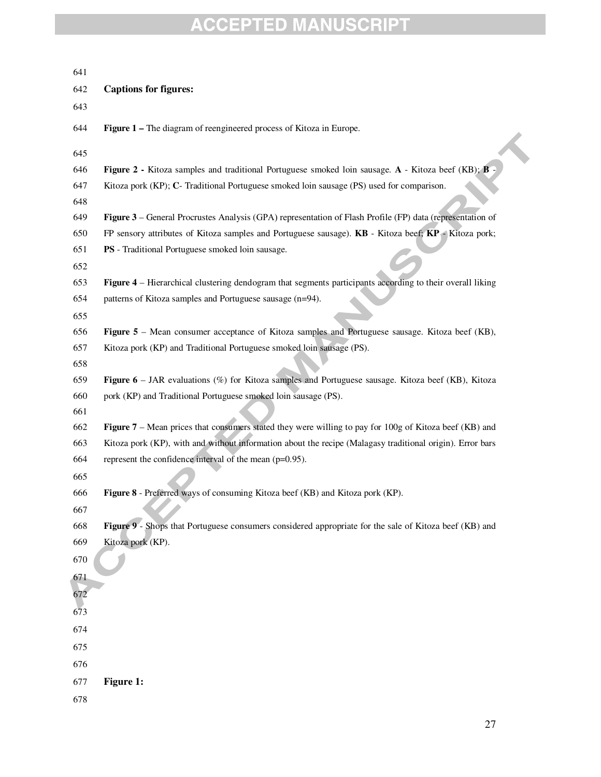| 641                                                                                                                      |  |
|--------------------------------------------------------------------------------------------------------------------------|--|
| <b>Captions for figures:</b><br>642                                                                                      |  |
| 643                                                                                                                      |  |
| 644<br>Figure 1 – The diagram of reengineered process of Kitoza in Europe.                                               |  |
| 645                                                                                                                      |  |
| 646<br><b>Figure 2 - Kitoza</b> samples and traditional Portuguese smoked loin sausage. A - Kitoza beef (KB); <b>B</b> - |  |
| 647<br>Kitoza pork (KP); C- Traditional Portuguese smoked loin sausage (PS) used for comparison.                         |  |
| 648                                                                                                                      |  |
| 649<br>Figure 3 – General Procrustes Analysis (GPA) representation of Flash Profile (FP) data (representation of         |  |
| 650<br>FP sensory attributes of Kitoza samples and Portuguese sausage). KB - Kitoza beef; KP - Kitoza pork;              |  |
| 651<br>PS - Traditional Portuguese smoked loin sausage.                                                                  |  |
| 652                                                                                                                      |  |
| 653<br>Figure 4 – Hierarchical clustering dendogram that segments participants according to their overall liking         |  |
| 654<br>patterns of Kitoza samples and Portuguese sausage (n=94).                                                         |  |
| 655                                                                                                                      |  |
| Figure 5 – Mean consumer acceptance of Kitoza samples and Portuguese sausage. Kitoza beef (KB),<br>656                   |  |
| 657<br>Kitoza pork (KP) and Traditional Portuguese smoked loin sausage (PS).                                             |  |
| 658                                                                                                                      |  |
| <b>Figure 6</b> – JAR evaluations ( $\%$ ) for Kitoza samples and Portuguese sausage. Kitoza beef (KB), Kitoza<br>659    |  |
| 660<br>pork (KP) and Traditional Portuguese smoked loin sausage (PS).                                                    |  |
| 661                                                                                                                      |  |
| Figure 7 – Mean prices that consumers stated they were willing to pay for 100g of Kitoza beef (KB) and<br>662            |  |
| Kitoza pork (KP), with and without information about the recipe (Malagasy traditional origin). Error bars<br>663         |  |
| represent the confidence interval of the mean $(p=0.95)$ .<br>664                                                        |  |
| 665                                                                                                                      |  |
| Figure 8 - Preferred ways of consuming Kitoza beef (KB) and Kitoza pork (KP).<br>666                                     |  |
| 667                                                                                                                      |  |
| Figure 9 - Shops that Portuguese consumers considered appropriate for the sale of Kitoza beef (KB) and<br>668            |  |
| 669<br>Kitoza pork (KP).                                                                                                 |  |
| 670                                                                                                                      |  |
| 671                                                                                                                      |  |
| 672                                                                                                                      |  |
| 673                                                                                                                      |  |
| 674                                                                                                                      |  |
| 675                                                                                                                      |  |
| 676                                                                                                                      |  |
| Figure 1:<br>677                                                                                                         |  |
| 678                                                                                                                      |  |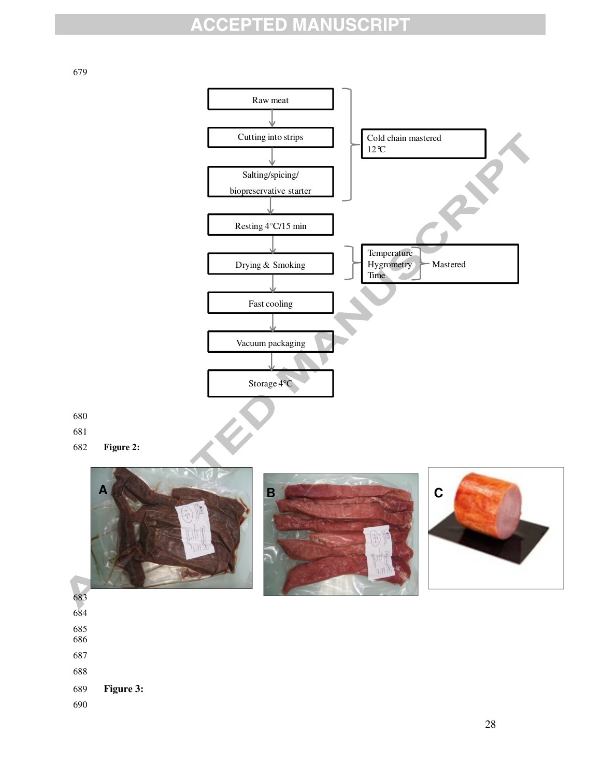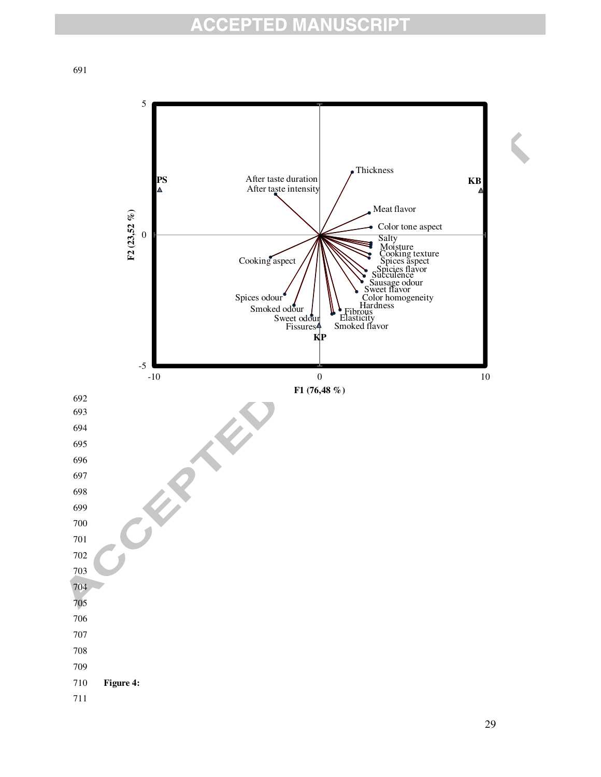5 Thickness **PS** After taste duration **KB** After taste intensity Meat flavor  $F2(23,52\% )$ **F2 (23,52 %)** Color tone aspect 0 Salty Moisture Cooking texture Cooking aspect Spices aspect Spicies flavor Succulence<br>Sausage odour Sweet flavor Spices odour Color homogeneity **Hardness** Smoked odour Elasticity Fibrous Sweet odour Smoked flavor Fissures **KP**  $-5$   $-10$  $F1 (76,48\%)$ **F1 (76,48 %)**692 693 694 695 696 697 698 699 700 701 702 703 704 705 706 707 708 709 710 **Figure 4:**  711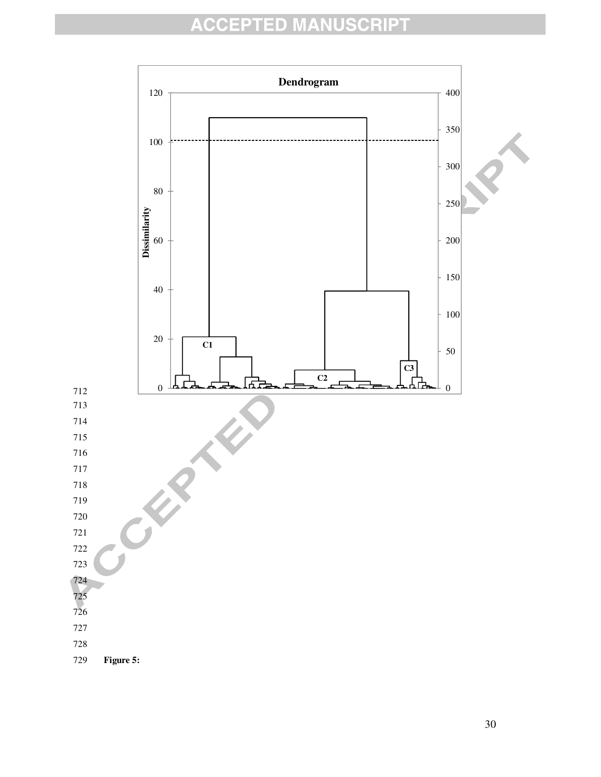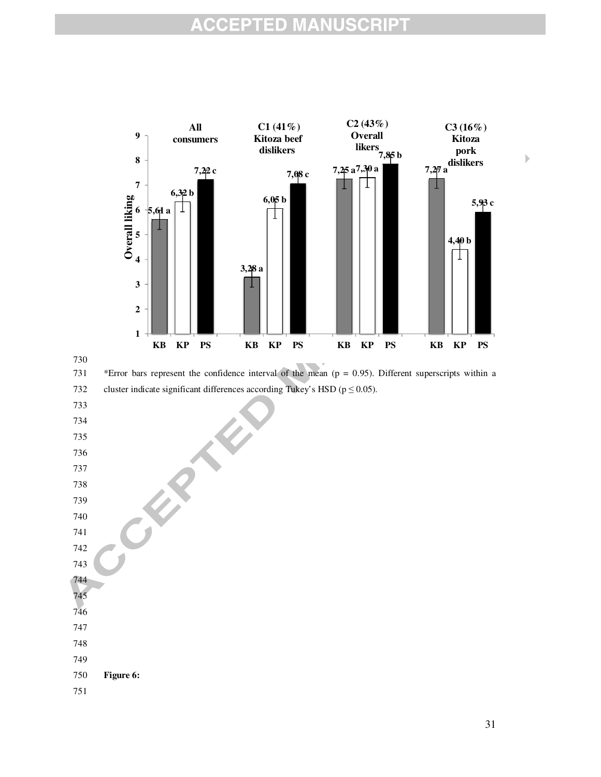#### **ISCRIPT ACCEPTED MANU**





731 \*Error bars represent the confidence interval of the mean (p = 0.95). Different superscripts within a

732 cluster indicate significant differences according Tukey's HSD ( $p \le 0.05$ ).

**PART** 

- 733
- 734
- 735 736
- 737
- 738

739

740

- 741 742 743
- 744
- 745 746
- 747
- 748
- 749
- 750 **Figure 6:**

751

 $\blacktriangleright$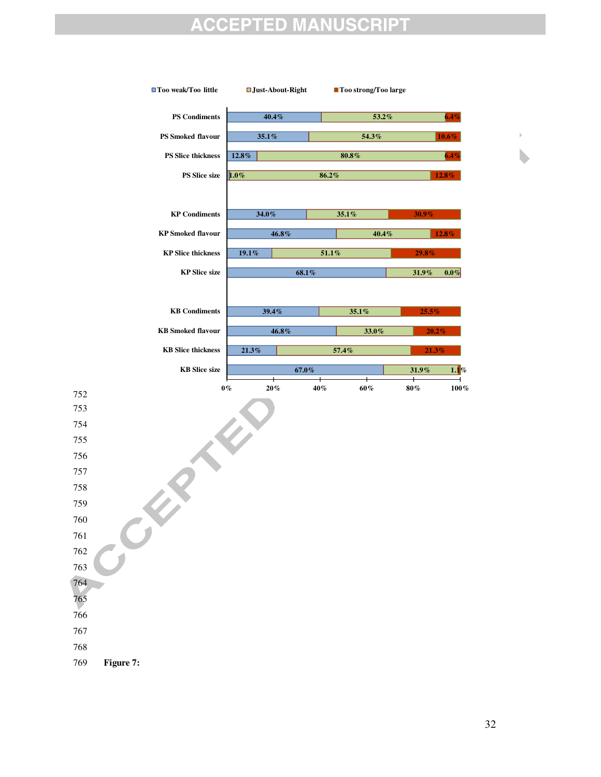#### **ISCRIPT** EPTED MANU Q **C**

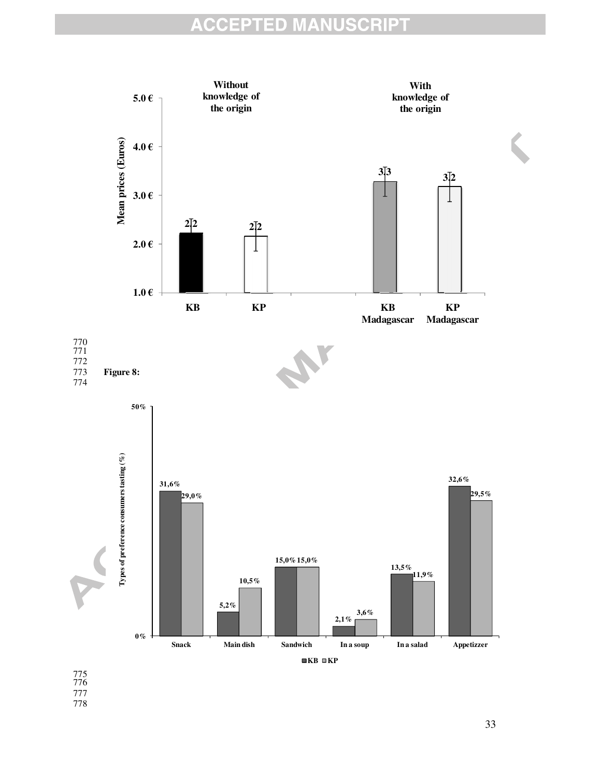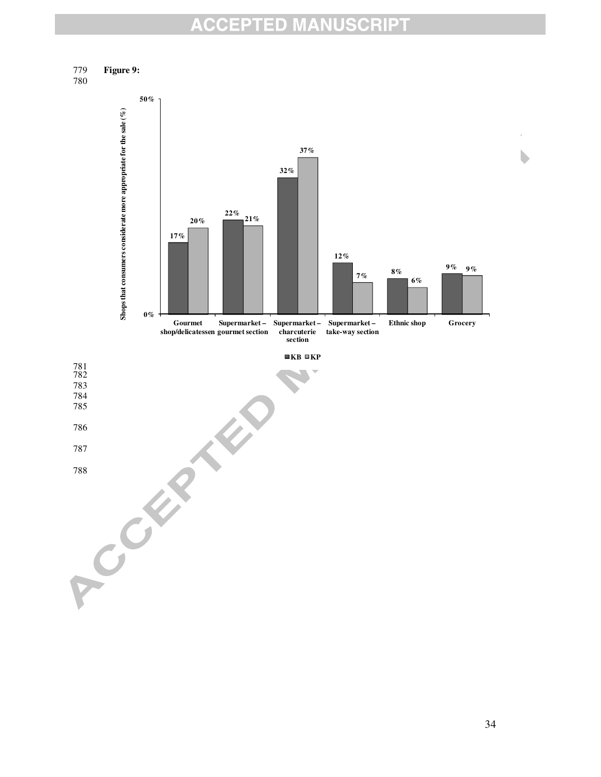

780



b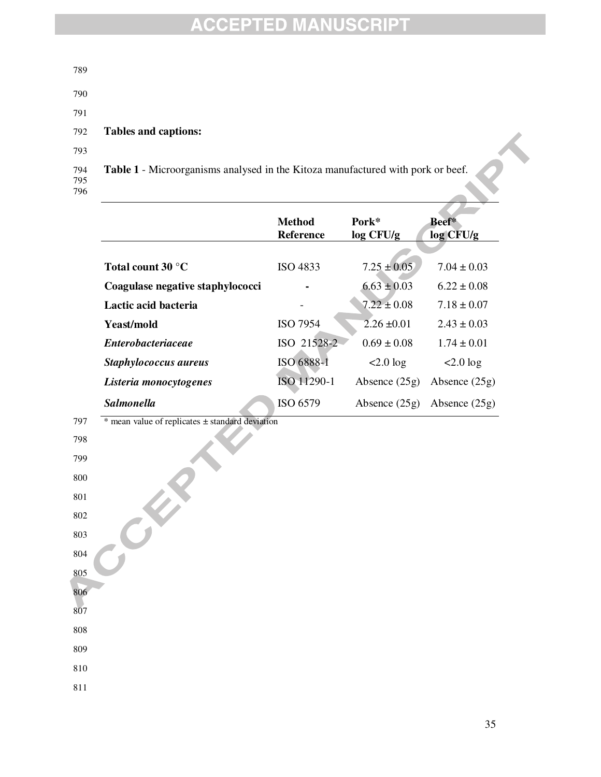| 789               |                                                                                 |
|-------------------|---------------------------------------------------------------------------------|
| 790               |                                                                                 |
| 791               |                                                                                 |
| 792               | Tables and captions:                                                            |
| 793               |                                                                                 |
| 794<br>795<br>796 | Table 1 - Microorganisms analysed in the Kitoza manufactured with pork or beef. |

|                                  | Method<br><b>Reference</b> | Pork*<br>log CFU/g | Beef*<br>log CFU/g |
|----------------------------------|----------------------------|--------------------|--------------------|
|                                  |                            |                    |                    |
| Total count $30^{\circ}$ C       | ISO 4833                   | $7.25 \pm 0.05$    | $7.04 + 0.03$      |
| Coagulase negative staphylococci |                            | $6.63 \pm 0.03$    | $6.22 \pm 0.08$    |
| Lactic acid bacteria             |                            | $7.22 \pm 0.08$    | $7.18 \pm 0.07$    |
| Yeast/mold                       | <b>ISO 7954</b>            | $2.26 \pm 0.01$    | $2.43 \pm 0.03$    |
| <i>Enterobacteriaceae</i>        | ISO 21528-2                | $0.69 + 0.08$      | $1.74 \pm 0.01$    |
| Staphylococcus aureus            | ISO 6888-1                 | $<2.0$ log         | $< 2.0 \log$       |
| Listeria monocytogenes           | ISO 11290-1                | Absence $(25g)$    | Absence $(25g)$    |
| <b>Salmonella</b>                | ISO 6579                   | Absence $(25g)$    | Absence $(25g)$    |

 $797$  \* mean value of replicates  $\pm$  standard deviation

**ERIT** 

808 809

810 811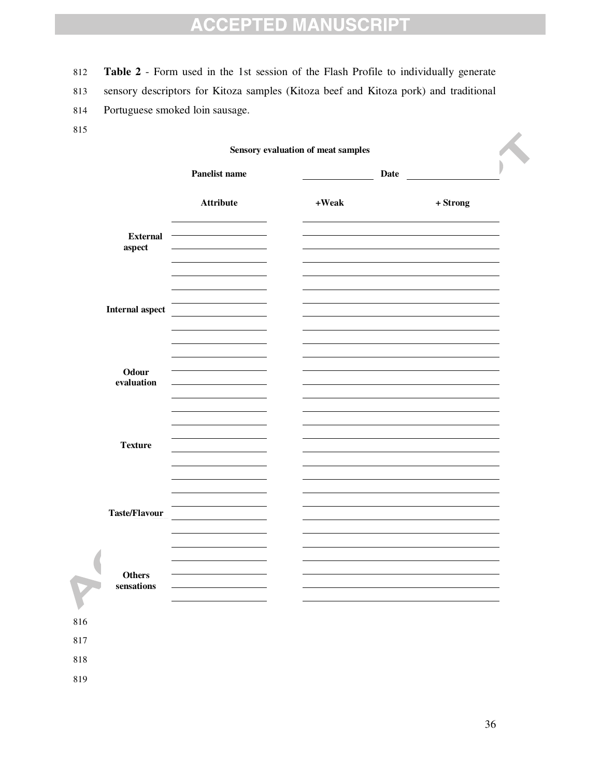812 **Table 2** - Form used in the 1st session of the Flash Profile to individually generate

813 sensory descriptors for Kitoza samples (Kitoza beef and Kitoza pork) and traditional

- 814 Portuguese smoked loin sausage.
- 815

816 817 818

| <b>Attribute</b><br>$+Weak$<br>$+$ Strong<br><b>External</b><br>aspect<br>$\sim$ $-$<br><b>Internal aspect</b><br>Odour<br>evaluation<br>$\sim$ 10 $\pm$ |                      | Panelist name | <b>Date</b> |  |
|----------------------------------------------------------------------------------------------------------------------------------------------------------|----------------------|---------------|-------------|--|
|                                                                                                                                                          |                      |               |             |  |
|                                                                                                                                                          |                      |               |             |  |
|                                                                                                                                                          |                      |               |             |  |
|                                                                                                                                                          |                      |               |             |  |
|                                                                                                                                                          | <b>Texture</b>       |               |             |  |
|                                                                                                                                                          | <b>Taste/Flavour</b> |               |             |  |
|                                                                                                                                                          | Others<br>sensations |               |             |  |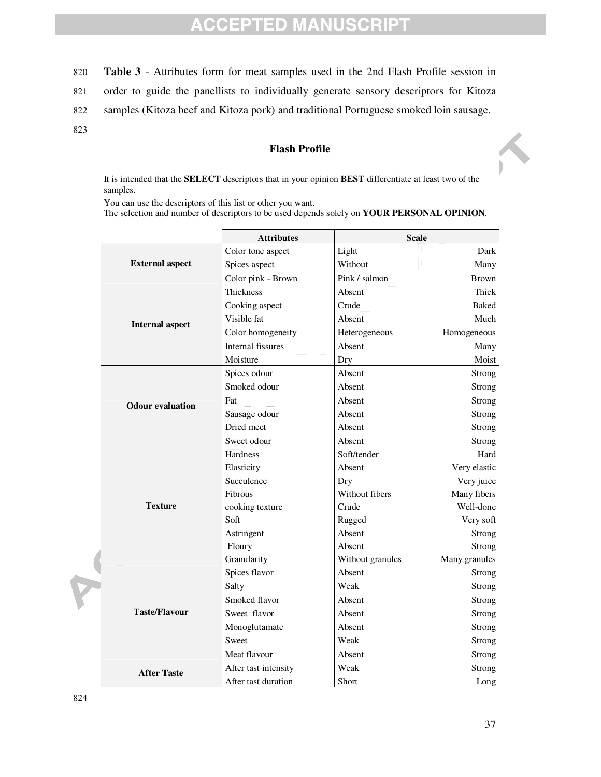#### **CCEPTED MANUSCRIPT**  $\Delta$

- 820 **Table 3** Attributes form for meat samples used in the 2nd Flash Profile session in
- 821 order to guide the panellists to individually generate sensory descriptors for Kitoza
- 822 samples (Kitoza beef and Kitoza pork) and traditional Portuguese smoked loin sausage.
- 823

#### **Flash Profile**

It is intended that the **SELECT** descriptors that in your opinion **BEST** differentiate at least two of the samples.

You can use the descriptors of this list or other you want.

The selection and number of descriptors to be used depends solely on **YOUR PERSONAL OPINION**.

|                         | <b>Attributes</b>    | <b>Scale</b>     |               |  |
|-------------------------|----------------------|------------------|---------------|--|
|                         | Color tone aspect    | Light            | Dark          |  |
| <b>External aspect</b>  | Spices aspect        | Without          | Many          |  |
|                         | Color pink - Brown   | Pink / salmon    | <b>Brown</b>  |  |
|                         | <b>Thickness</b>     | Absent           | Thick         |  |
|                         | Cooking aspect       | Crude            | <b>Baked</b>  |  |
| <b>Internal aspect</b>  | Visible fat          | Absent           | Much          |  |
|                         | Color homogeneity    | Heterogeneous    | Homogeneous   |  |
|                         | Internal fissures    | Absent           | Many          |  |
|                         | Moisture             | Dry              | Moist         |  |
|                         | Spices odour         | Absent           | Strong        |  |
|                         | Smoked odour         | Absent           | Strong        |  |
| <b>Odour evaluation</b> | Fat                  | Absent           | Strong        |  |
|                         | Sausage odour        | Absent           | <b>Strong</b> |  |
|                         | Dried meet           | Absent           | Strong        |  |
|                         | Sweet odour          | Absent           | Strong        |  |
|                         | Hardness             | Soft/tender      | Hard          |  |
|                         | Elasticity           | Absent           | Very elastic  |  |
|                         | Succulence           | Dry              | Very juice    |  |
|                         | Fibrous              | Without fibers   | Many fibers   |  |
| <b>Texture</b>          | cooking texture      | Crude            | Well-done     |  |
|                         | Soft                 | Rugged           | Very soft     |  |
|                         | Astringent           | Absent           | Strong        |  |
|                         | Floury               | Absent           | Strong        |  |
|                         | Granularity          | Without granules | Many granules |  |
|                         | Spices flavor        | Absent           | Strong        |  |
|                         | Salty                | Weak             | Strong        |  |
|                         | Smoked flavor        | Absent           | Strong        |  |
| <b>Taste/Flavour</b>    | Sweet flavor         | Absent           | Strong        |  |
|                         | Monoglutamate        | Absent           | <b>Strong</b> |  |
|                         | Sweet                | Weak             | Strong        |  |
|                         | Meat flavour         | Absent           | Strong        |  |
| <b>After Taste</b>      | After tast intensity | Weak             | Strong        |  |
|                         | After tast duration  | Short            | Long          |  |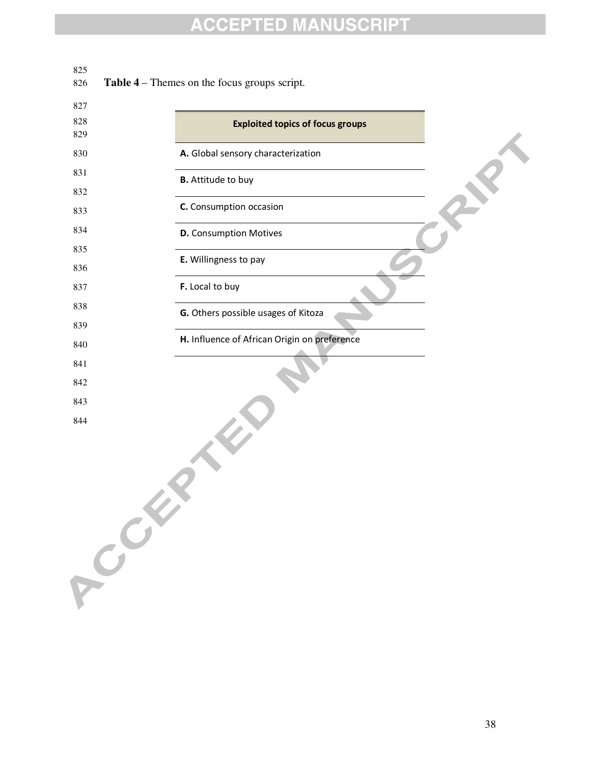825<br>826 Table 4 – Themes on the focus groups script.

| 827          |                                              |
|--------------|----------------------------------------------|
| 828<br>829   | <b>Exploited topics of focus groups</b>      |
| 830          | A. Global sensory characterization           |
| 831          | <b>B.</b> Attitude to buy                    |
| 832          |                                              |
| 833          | C. Consumption occasion                      |
| 834          | <b>D.</b> Consumption Motives                |
| 835          | E. Willingness to pay                        |
| 836          |                                              |
| 837          | F. Local to buy                              |
| 838          | G. Others possible usages of Kitoza          |
| 839          |                                              |
| 840          | H. Influence of African Origin on preference |
| 841          |                                              |
| 842          |                                              |
| 843          |                                              |
| 844<br>Creek |                                              |
|              |                                              |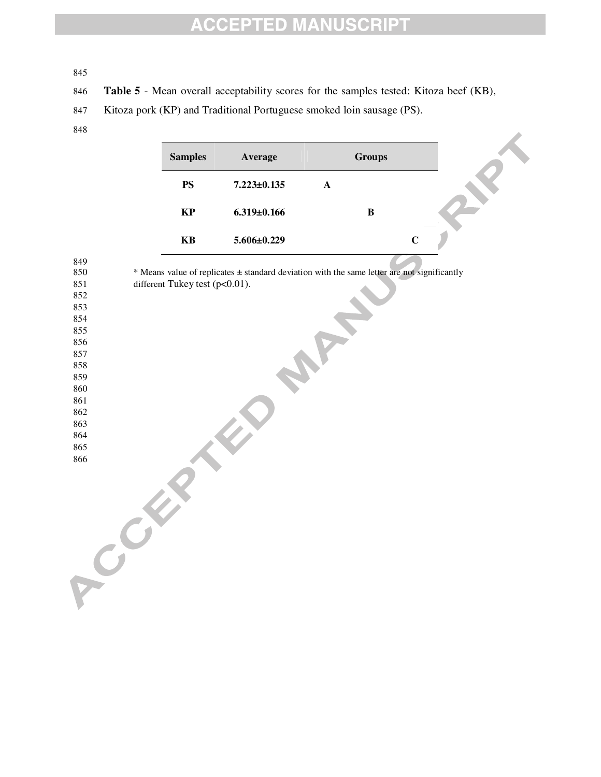**Table 5** - Mean overall acceptability scores for the samples tested: Kitoza beef (KB),

- Kitoza pork (KP) and Traditional Portuguese smoked loin sausage (PS).
- 

| <b>Samples</b> | Average           |   | <b>Groups</b> |              |  |
|----------------|-------------------|---|---------------|--------------|--|
| <b>PS</b>      | $7.223 \pm 0.135$ | A |               |              |  |
| KP             | $6.319 \pm 0.166$ |   | В             |              |  |
| KB             | $5.606 \pm 0.229$ |   |               | $\mathsf{C}$ |  |

| 849 |                                                                                             |
|-----|---------------------------------------------------------------------------------------------|
| 850 | * Means value of replicates ± standard deviation with the same letter are not significantly |
| 851 | different Tukey test (p<0.01).                                                              |
| 852 |                                                                                             |
| 853 |                                                                                             |
| 854 |                                                                                             |
| 855 |                                                                                             |
| 856 |                                                                                             |
| 857 |                                                                                             |
| 858 |                                                                                             |
| 859 |                                                                                             |
| 860 |                                                                                             |
| 861 |                                                                                             |
| 862 |                                                                                             |
| 863 |                                                                                             |
| 864 |                                                                                             |
| 865 |                                                                                             |
| 866 |                                                                                             |
|     |                                                                                             |
|     |                                                                                             |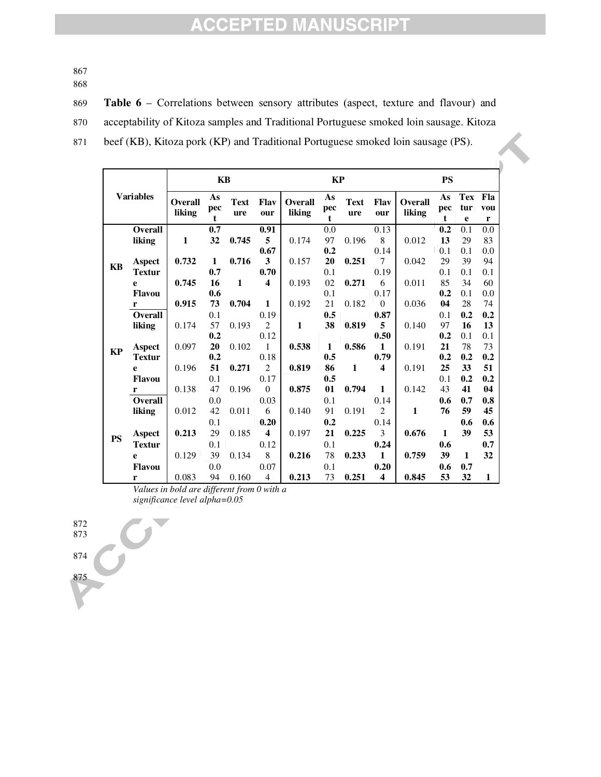867

868

869 **Table 6** – Correlations between sensory attributes (aspect, texture and flavour) and 870 acceptability of Kitoza samples and Traditional Portuguese smoked loin sausage. Kitoza 871 beef (KB), Kitoza pork (KP) and Traditional Portuguese smoked loin sausage (PS).

| <b>Variables</b> |                |                          | KB                       |                    |                         |                          | KP                       |                    |                         |                          | <b>PS</b>      |                        |                 |
|------------------|----------------|--------------------------|--------------------------|--------------------|-------------------------|--------------------------|--------------------------|--------------------|-------------------------|--------------------------|----------------|------------------------|-----------------|
|                  |                | <b>Overall</b><br>liking | As<br>pec<br>$\mathbf t$ | <b>Text</b><br>ure | Flav<br>our             | <b>Overall</b><br>liking | As<br>pec<br>$\mathbf t$ | <b>Text</b><br>ure | <b>Flav</b><br>our      | <b>Overall</b><br>liking | As<br>pec<br>t | <b>Tex</b><br>tur<br>e | Fla<br>vou<br>r |
|                  | <b>Overall</b> |                          | 0.7                      |                    | 0.91                    |                          | 0.0                      |                    | 0.13                    |                          | 0.2            | 0.1                    | 0.0             |
|                  | liking         | $\mathbf{1}$             | 32                       | 0.745              | 5                       | 0.174                    | 97                       | 0.196              | 8                       | 0.012                    | 13             | 29                     | 83              |
|                  |                |                          |                          |                    | 0.67                    |                          | 0.2                      |                    | 0.14                    |                          | 0.1            | 0.1                    | 0.0             |
| <b>KB</b>        | <b>Aspect</b>  | 0.732                    | $\mathbf{1}$             | 0.716              | 3                       | 0.157                    | 20                       | 0.251              | $\tau$                  | 0.042                    | 29             | 39                     | 94              |
|                  | <b>Textur</b>  |                          | 0.7                      |                    | 0.70                    |                          | 0.1                      |                    | 0.19                    |                          | 0.1            | 0.1                    | 0.1             |
|                  | e              | 0.745                    | 16                       | $\mathbf{1}$       | $\overline{\mathbf{4}}$ | 0.193                    | 02                       | 0.271              | 6                       | 0.011                    | 85             | 34                     | 60              |
|                  | <b>Flavou</b>  |                          | 0.6                      |                    |                         |                          | 0.1                      |                    | 0.17                    |                          | 0.2            | 0.1                    | 0.0             |
|                  | r              | 0.915                    | 73                       | 0.704              | $\mathbf{1}$            | 0.192                    | 21                       | 0.182              | $\mathbf{0}$            | 0.036                    | 04             | 28                     | 74              |
|                  | Overall        |                          | 0.1                      |                    | 0.19                    |                          | 0.5                      |                    | 0.87                    |                          | 0.1            | 0.2                    | 0.2             |
|                  | liking         | 0.174                    | 57                       | 0.193              | 2                       | 1                        | 38                       | 0.819              | 5                       | 0.140                    | 97             | 16                     | 13              |
|                  |                |                          | 0.2                      |                    | 0.12                    |                          |                          |                    | 0.50                    |                          | 0.2            | 0.1                    | 0.1             |
| <b>KP</b>        | <b>Aspect</b>  | 0.097                    | 20                       | 0.102              | $\mathbf{1}$            | 0.538                    | 1                        | 0.586              | $\mathbf{1}$            | 0.191                    | 21             | 78                     | 73              |
|                  | <b>Textur</b>  |                          | 0.2                      |                    | 0.18                    |                          | 0.5                      |                    | 0.79                    |                          | 0.2            | 0.2                    | 0.2             |
|                  | e              | 0.196                    | 51                       | 0.271              | $\mathbf{2}$            | 0.819                    | 86                       | $\mathbf{1}$       | $\overline{\mathbf{4}}$ | 0.191                    | 25             | 33                     | 51              |
|                  | <b>Flavou</b>  |                          | 0.1                      |                    | 0.17                    |                          | 0.5                      |                    |                         |                          | 0.1            | 0.2                    | 0.2             |
|                  | r              | 0.138                    | 47                       | 0.196              | $\theta$                | 0.875                    | 01                       | 0.794              | $\mathbf{1}$            | 0.142                    | 43             | 41                     | 04              |
|                  | Overall        |                          | 0.0                      |                    | 0.03                    |                          | 0.1                      |                    | 0.14                    |                          | 0.6            | 0.7                    | 0.8             |
|                  | liking         | 0.012                    | 42                       | 0.011              | 6                       | 0.140                    | 91                       | 0.191              | $\overline{2}$          | 1                        | 76             | 59                     | 45              |
|                  |                |                          | 0.1                      |                    | 0.20                    |                          | 0.2                      |                    | 0.14                    |                          |                | 0.6                    | 0.6             |
| <b>PS</b>        | Aspect         | 0.213                    | 29                       | 0.185              | $\overline{\mathbf{4}}$ | 0.197                    | 21                       | 0.225              | 3                       | 0.676                    | 1              | 39                     | 53              |
|                  | <b>Textur</b>  |                          | 0.1                      |                    | 0.12                    |                          | 0.1                      |                    | 0.24                    |                          | 0.6            |                        | 0.7             |
|                  | e              | 0.129                    | 39                       | 0.134              | 8                       | 0.216                    | 78                       | 0.233              | $\mathbf{1}$            | 0.759                    | 39             | 1                      | 32              |
|                  | <b>Flavou</b>  |                          | 0.0                      |                    | 0.07                    |                          | 0.1                      |                    | 0.20                    |                          | 0.6            | 0.7                    |                 |
|                  | r              | 0.083                    | 94                       | 0.160              | $\overline{4}$          | 0.213                    | 73                       | 0.251              | $\overline{\mathbf{4}}$ | 0.845                    | 53             | 32                     | 1               |

*Values in bold are different from 0 with a significance level alpha=0.05*